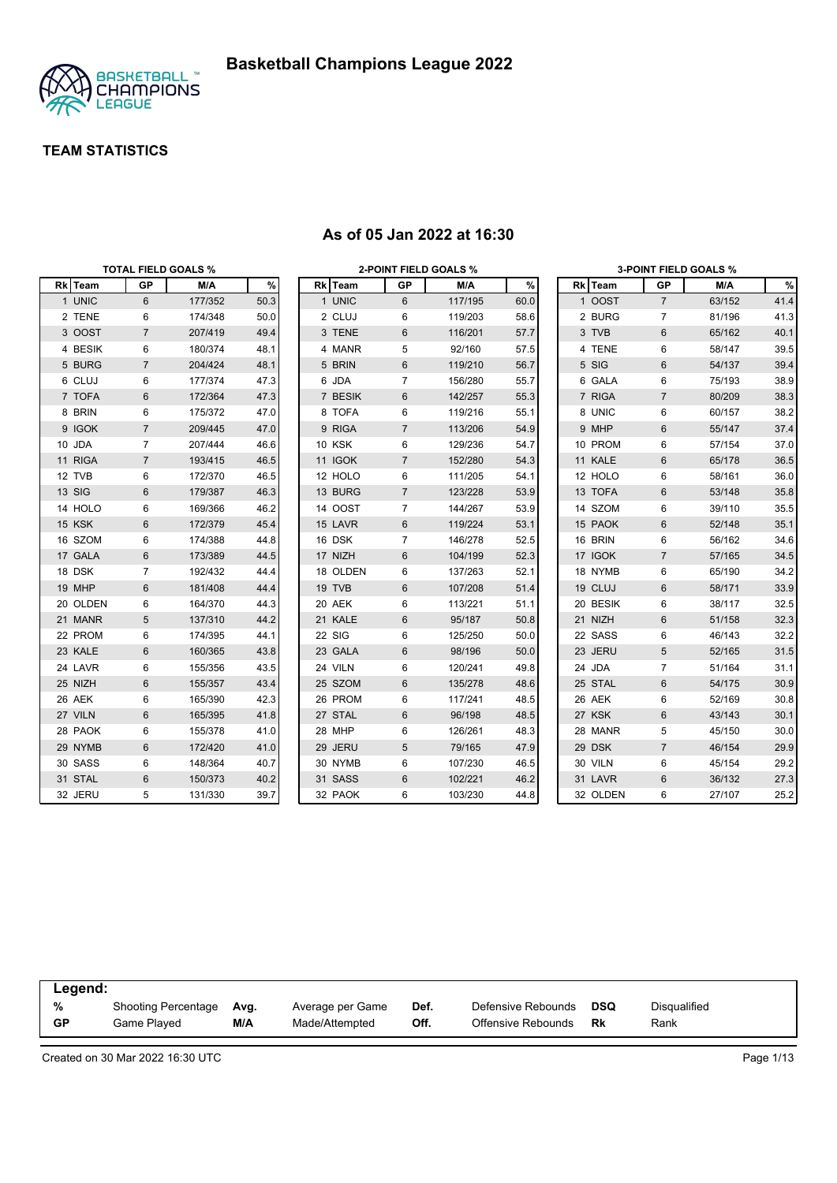

|          |                | <b>TOTAL FIELD GOALS %</b> |      |               | <b>2-POINT FIELD GOALS %</b> |         |      |          |                | <b>3-POINT FIELD GOALS %</b> |      |
|----------|----------------|----------------------------|------|---------------|------------------------------|---------|------|----------|----------------|------------------------------|------|
| Rk Team  | GP             | M/A                        | %    | Rk Team       | GP                           | M/A     | $\%$ | Rk Team  | GP             | M/A                          | %    |
| 1 UNIC   | 6              | 177/352                    | 50.3 | 1 UNIC        | 6                            | 117/195 | 60.0 | 1 OOST   | $\overline{7}$ | 63/152                       | 41.4 |
| 2 TENE   | 6              | 174/348                    | 50.0 | 2 CLUJ        | 6                            | 119/203 | 58.6 | 2 BURG   | $\overline{7}$ | 81/196                       | 41.3 |
| 3 OOST   | $\overline{7}$ | 207/419                    | 49.4 | 3 TENE        | 6                            | 116/201 | 57.7 | 3 TVB    | 6              | 65/162                       | 40.1 |
| 4 BESIK  | 6              | 180/374                    | 48.1 | 4 MANR        | 5                            | 92/160  | 57.5 | 4 TENE   | 6              | 58/147                       | 39.5 |
| 5 BURG   | $\overline{7}$ | 204/424                    | 48.1 | 5 BRIN        | 6                            | 119/210 | 56.7 | 5 SIG    | 6              | 54/137                       | 39.4 |
| 6 CLUJ   | 6              | 177/374                    | 47.3 | 6 JDA         | $\overline{7}$               | 156/280 | 55.7 | 6 GALA   | 6              | 75/193                       | 38.9 |
| 7 TOFA   | 6              | 172/364                    | 47.3 | 7 BESIK       | 6                            | 142/257 | 55.3 | 7 RIGA   | $\overline{7}$ | 80/209                       | 38.3 |
| 8 BRIN   | 6              | 175/372                    | 47.0 | 8 TOFA        | 6                            | 119/216 | 55.1 | 8 UNIC   | 6              | 60/157                       | 38.2 |
| 9 IGOK   | $\overline{7}$ | 209/445                    | 47.0 | 9 RIGA        | $\overline{7}$               | 113/206 | 54.9 | 9 MHP    | 6              | 55/147                       | 37.4 |
| 10 JDA   | $\overline{7}$ | 207/444                    | 46.6 | <b>10 KSK</b> | 6                            | 129/236 | 54.7 | 10 PROM  | 6              | 57/154                       | 37.0 |
| 11 RIGA  | $\overline{7}$ | 193/415                    | 46.5 | 11 IGOK       | $\overline{7}$               | 152/280 | 54.3 | 11 KALE  | 6              | 65/178                       | 36.5 |
| 12 TVB   | 6              | 172/370                    | 46.5 | 12 HOLO       | 6                            | 111/205 | 54.1 | 12 HOLO  | 6              | 58/161                       | 36.0 |
| 13 SIG   | 6              | 179/387                    | 46.3 | 13 BURG       | $\overline{7}$               | 123/228 | 53.9 | 13 TOFA  | 6              | 53/148                       | 35.8 |
| 14 HOLO  | 6              | 169/366                    | 46.2 | 14 OOST       | $\overline{7}$               | 144/267 | 53.9 | 14 SZOM  | 6              | 39/110                       | 35.5 |
| 15 KSK   | 6              | 172/379                    | 45.4 | 15 LAVR       | 6                            | 119/224 | 53.1 | 15 PAOK  | 6              | 52/148                       | 35.1 |
| 16 SZOM  | 6              | 174/388                    | 44.8 | 16 DSK        | $\overline{7}$               | 146/278 | 52.5 | 16 BRIN  | 6              | 56/162                       | 34.6 |
| 17 GALA  | 6              | 173/389                    | 44.5 | 17 NIZH       | 6                            | 104/199 | 52.3 | 17 IGOK  | $\overline{7}$ | 57/165                       | 34.5 |
| 18 DSK   | $\overline{7}$ | 192/432                    | 44.4 | 18 OLDEN      | 6                            | 137/263 | 52.1 | 18 NYMB  | 6              | 65/190                       | 34.2 |
| 19 MHP   | 6              | 181/408                    | 44.4 | 19 TVB        | 6                            | 107/208 | 51.4 | 19 CLUJ  | 6              | 58/171                       | 33.9 |
| 20 OLDEN | 6              | 164/370                    | 44.3 | 20 AEK        | 6                            | 113/221 | 51.1 | 20 BESIK | 6              | 38/117                       | 32.5 |
| 21 MANR  | 5              | 137/310                    | 44.2 | 21 KALE       | 6                            | 95/187  | 50.8 | 21 NIZH  | 6              | 51/158                       | 32.3 |
| 22 PROM  | 6              | 174/395                    | 44.1 | <b>22 SIG</b> | 6                            | 125/250 | 50.0 | 22 SASS  | 6              | 46/143                       | 32.2 |
| 23 KALE  | 6              | 160/365                    | 43.8 | 23 GALA       | 6                            | 98/196  | 50.0 | 23 JERU  | 5              | 52/165                       | 31.5 |
| 24 LAVR  | 6              | 155/356                    | 43.5 | 24 VILN       | 6                            | 120/241 | 49.8 | 24 JDA   | 7              | 51/164                       | 31.1 |
| 25 NIZH  | 6              | 155/357                    | 43.4 | 25 SZOM       | 6                            | 135/278 | 48.6 | 25 STAL  | 6              | 54/175                       | 30.9 |
| 26 AEK   | 6              | 165/390                    | 42.3 | 26 PROM       | 6                            | 117/241 | 48.5 | 26 AEK   | 6              | 52/169                       | 30.8 |
| 27 VILN  | 6              | 165/395                    | 41.8 | 27 STAL       | 6                            | 96/198  | 48.5 | 27 KSK   | 6              | 43/143                       | 30.1 |
| 28 PAOK  | 6              | 155/378                    | 41.0 | 28 MHP        | 6                            | 126/261 | 48.3 | 28 MANR  | 5              | 45/150                       | 30.0 |
| 29 NYMB  | 6              | 172/420                    | 41.0 | 29 JERU       | 5                            | 79/165  | 47.9 | 29 DSK   | $\overline{7}$ | 46/154                       | 29.9 |
| 30 SASS  | 6              | 148/364                    | 40.7 | 30 NYMB       | 6                            | 107/230 | 46.5 | 30 VILN  | 6              | 45/154                       | 29.2 |
| 31 STAL  | 6              | 150/373                    | 40.2 | 31 SASS       | 6                            | 102/221 | 46.2 | 31 LAVR  | 6              | 36/132                       | 27.3 |
| 32 JERU  | 5              | 131/330                    | 39.7 | 32 PAOK       | 6                            | 103/230 | 44.8 | 32 OLDEN | 6              | 27/107                       | 25.2 |

#### **As of 05 Jan 2022 at 16:30**

| Legend:   |                     |      |                  |      |                    |            |              |
|-----------|---------------------|------|------------------|------|--------------------|------------|--------------|
| %         | Shooting Percentage | Ava. | Average per Game | Def. | Defensive Rebounds | <b>DSQ</b> | Disgualified |
| <b>GP</b> | Game Played         | M/A  | Made/Attempted   | Off. | Offensive Rebounds | Rk         | Rank         |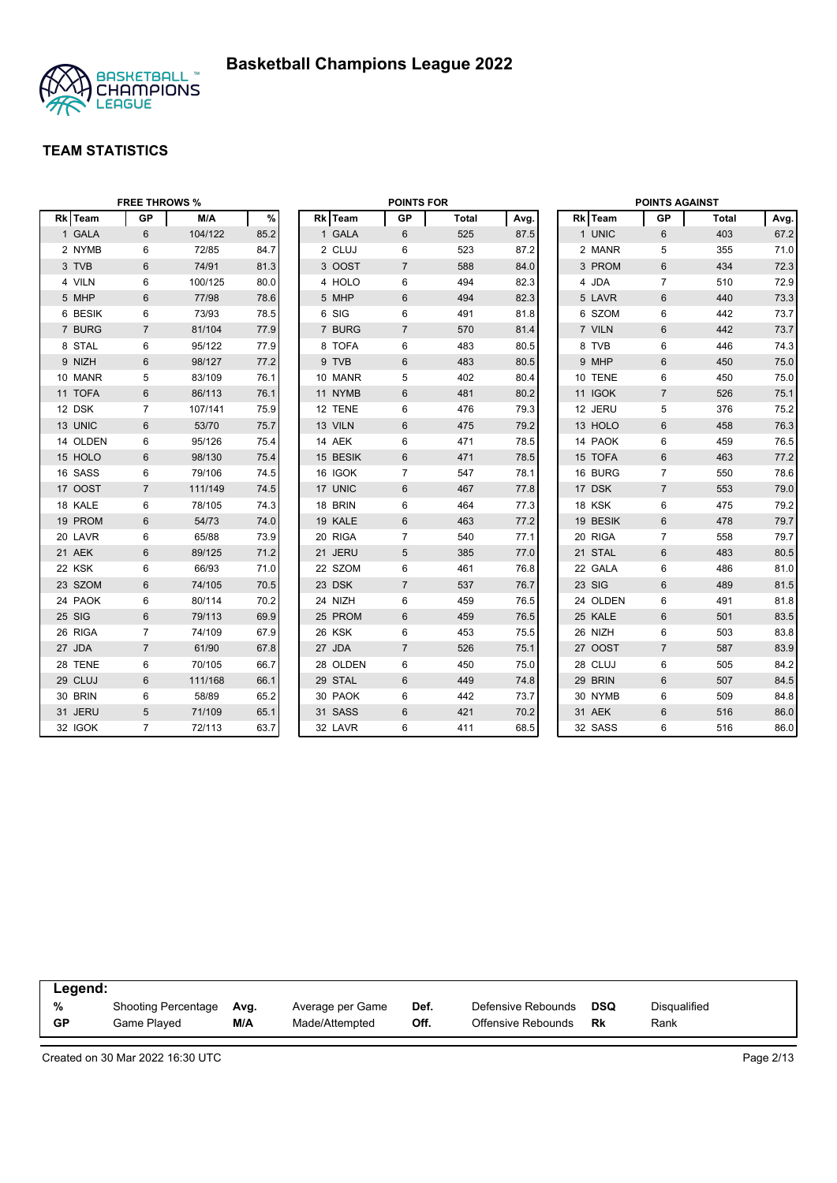

|          | <b>FREE THROWS %</b> |         |      |          | <b>POINTS FOR</b> |              |      |          | <b>POINTS AGAINST</b> |              |      |
|----------|----------------------|---------|------|----------|-------------------|--------------|------|----------|-----------------------|--------------|------|
| Rk Team  | <b>GP</b>            | M/A     | $\%$ | Rk Team  | <b>GP</b>         | <b>Total</b> | Avg. | Rk Team  | GP                    | <b>Total</b> | Avg. |
| 1 GALA   | 6                    | 104/122 | 85.2 | 1 GALA   | 6                 | 525          | 87.5 | 1 UNIC   | 6                     | 403          | 67.2 |
| 2 NYMB   | 6                    | 72/85   | 84.7 | 2 CLUJ   | 6                 | 523          | 87.2 | 2 MANR   | 5                     | 355          | 71.0 |
| 3 TVB    | $6\phantom{1}$       | 74/91   | 81.3 | 3 OOST   | $\overline{7}$    | 588          | 84.0 | 3 PROM   | 6                     | 434          | 72.3 |
| 4 VILN   | 6                    | 100/125 | 80.0 | 4 HOLO   | 6                 | 494          | 82.3 | 4 JDA    | $\overline{7}$        | 510          | 72.9 |
| 5 MHP    | $6\phantom{1}$       | 77/98   | 78.6 | 5 MHP    | 6                 | 494          | 82.3 | 5 LAVR   | $6\phantom{1}$        | 440          | 73.3 |
| 6 BESIK  | 6                    | 73/93   | 78.5 | 6 SIG    | 6                 | 491          | 81.8 | 6 SZOM   | 6                     | 442          | 73.7 |
| 7 BURG   | $\overline{7}$       | 81/104  | 77.9 | 7 BURG   | $\overline{7}$    | 570          | 81.4 | 7 VILN   | $6\phantom{1}$        | 442          | 73.7 |
| 8 STAL   | 6                    | 95/122  | 77.9 | 8 TOFA   | 6                 | 483          | 80.5 | 8 TVB    | 6                     | 446          | 74.3 |
| 9 NIZH   | $6\phantom{1}$       | 98/127  | 77.2 | 9 TVB    | 6                 | 483          | 80.5 | 9 MHP    | 6                     | 450          | 75.0 |
| 10 MANR  | 5                    | 83/109  | 76.1 | 10 MANR  | 5                 | 402          | 80.4 | 10 TENE  | 6                     | 450          | 75.0 |
| 11 TOFA  | $6\phantom{1}$       | 86/113  | 76.1 | 11 NYMB  | $6\phantom{1}$    | 481          | 80.2 | 11 IGOK  | $\overline{7}$        | 526          | 75.1 |
| 12 DSK   | $\overline{7}$       | 107/141 | 75.9 | 12 TENE  | 6                 | 476          | 79.3 | 12 JERU  | 5                     | 376          | 75.2 |
| 13 UNIC  | 6                    | 53/70   | 75.7 | 13 VILN  | $6\phantom{1}$    | 475          | 79.2 | 13 HOLO  | $6\phantom{1}$        | 458          | 76.3 |
| 14 OLDEN | 6                    | 95/126  | 75.4 | 14 AEK   | 6                 | 471          | 78.5 | 14 PAOK  | 6                     | 459          | 76.5 |
| 15 HOLO  | $6\phantom{1}$       | 98/130  | 75.4 | 15 BESIK | 6                 | 471          | 78.5 | 15 TOFA  | $6\phantom{1}$        | 463          | 77.2 |
| 16 SASS  | 6                    | 79/106  | 74.5 | 16 IGOK  | $\overline{7}$    | 547          | 78.1 | 16 BURG  | $\overline{7}$        | 550          | 78.6 |
| 17 OOST  | $\overline{7}$       | 111/149 | 74.5 | 17 UNIC  | $6\,$             | 467          | 77.8 | 17 DSK   | $\overline{7}$        | 553          | 79.0 |
| 18 KALE  | 6                    | 78/105  | 74.3 | 18 BRIN  | 6                 | 464          | 77.3 | 18 KSK   | 6                     | 475          | 79.2 |
| 19 PROM  | 6                    | 54/73   | 74.0 | 19 KALE  | 6                 | 463          | 77.2 | 19 BESIK | $6\phantom{1}$        | 478          | 79.7 |
| 20 LAVR  | 6                    | 65/88   | 73.9 | 20 RIGA  | $\overline{7}$    | 540          | 77.1 | 20 RIGA  | $\overline{7}$        | 558          | 79.7 |
| 21 AEK   | 6                    | 89/125  | 71.2 | 21 JERU  | 5                 | 385          | 77.0 | 21 STAL  | $6\phantom{1}$        | 483          | 80.5 |
| 22 KSK   | 6                    | 66/93   | 71.0 | 22 SZOM  | 6                 | 461          | 76.8 | 22 GALA  | 6                     | 486          | 81.0 |
| 23 SZOM  | $\,6$                | 74/105  | 70.5 | 23 DSK   | $\overline{7}$    | 537          | 76.7 | 23 SIG   | 6                     | 489          | 81.5 |
| 24 PAOK  | 6                    | 80/114  | 70.2 | 24 NIZH  | 6                 | 459          | 76.5 | 24 OLDEN | 6                     | 491          | 81.8 |
| 25 SIG   | 6                    | 79/113  | 69.9 | 25 PROM  | 6                 | 459          | 76.5 | 25 KALE  | $\,6$                 | 501          | 83.5 |
| 26 RIGA  | $\overline{7}$       | 74/109  | 67.9 | 26 KSK   | 6                 | 453          | 75.5 | 26 NIZH  | 6                     | 503          | 83.8 |
| 27 JDA   | $\overline{7}$       | 61/90   | 67.8 | 27 JDA   | $\overline{7}$    | 526          | 75.1 | 27 OOST  | $\overline{7}$        | 587          | 83.9 |
| 28 TENE  | 6                    | 70/105  | 66.7 | 28 OLDEN | 6                 | 450          | 75.0 | 28 CLUJ  | 6                     | 505          | 84.2 |
| 29 CLUJ  | 6                    | 111/168 | 66.1 | 29 STAL  | 6                 | 449          | 74.8 | 29 BRIN  | $6\phantom{1}$        | 507          | 84.5 |
| 30 BRIN  | 6                    | 58/89   | 65.2 | 30 PAOK  | 6                 | 442          | 73.7 | 30 NYMB  | 6                     | 509          | 84.8 |
| 31 JERU  | 5                    | 71/109  | 65.1 | 31 SASS  | 6                 | 421          | 70.2 | 31 AEK   | 6                     | 516          | 86.0 |
| 32 IGOK  | $\overline{7}$       | 72/113  | 63.7 | 32 LAVR  | 6                 | 411          | 68.5 | 32 SASS  | 6                     | 516          | 86.0 |

| Legend:   |                            |      |                  |      |                    |     |              |  |
|-----------|----------------------------|------|------------------|------|--------------------|-----|--------------|--|
| %         | <b>Shooting Percentage</b> | Avg. | Average per Game | Def. | Defensive Rebounds | DSQ | Disqualified |  |
| <b>GP</b> | Game Played                | M/A  | Made/Attempted   | Off. | Offensive Rebounds | Rk  | Rank         |  |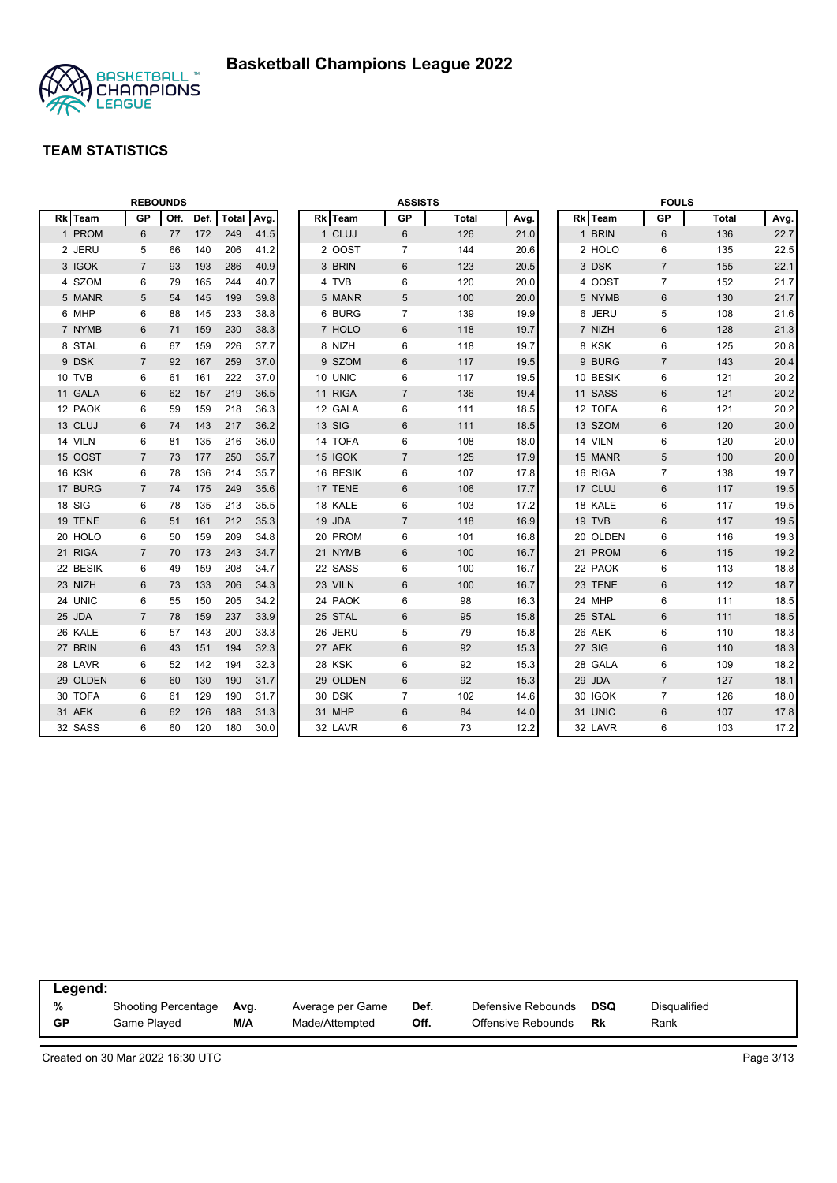

|          |        | <b>REBOUNDS</b> |      |      |              |      |  |          | <b>ASSISTS</b> |              |      |  |          | <b>FOULS</b>   |              |      |
|----------|--------|-----------------|------|------|--------------|------|--|----------|----------------|--------------|------|--|----------|----------------|--------------|------|
| Rk Team  |        | <b>GP</b>       | Off. | Def. | <b>Total</b> | Avg. |  | Rk Team  | <b>GP</b>      | <b>Total</b> | Avg. |  | Rk Team  | <b>GP</b>      | <b>Total</b> | Avg. |
| 1 PROM   |        | 6               | 77   | 172  | 249          | 41.5 |  | 1 CLUJ   | 6              | 126          | 21.0 |  | 1 BRIN   | 6              | 136          | 22.7 |
| 2 JERU   |        | 5               | 66   | 140  | 206          | 41.2 |  | 2 OOST   | $\overline{7}$ | 144          | 20.6 |  | 2 HOLO   | 6              | 135          | 22.5 |
| 3 IGOK   |        | $\overline{7}$  | 93   | 193  | 286          | 40.9 |  | 3 BRIN   | 6              | 123          | 20.5 |  | 3 DSK    | $\overline{7}$ | 155          | 22.1 |
| 4 SZOM   |        | 6               | 79   | 165  | 244          | 40.7 |  | 4 TVB    | 6              | 120          | 20.0 |  | 4 OOST   | $\overline{7}$ | 152          | 21.7 |
|          | 5 MANR | 5               | 54   | 145  | 199          | 39.8 |  | 5 MANR   | 5              | 100          | 20.0 |  | 5 NYMB   | $\,6$          | 130          | 21.7 |
| 6 MHP    |        | 6               | 88   | 145  | 233          | 38.8 |  | 6 BURG   | $\overline{7}$ | 139          | 19.9 |  | 6 JERU   | 5              | 108          | 21.6 |
| 7 NYMB   |        | 6               | 71   | 159  | 230          | 38.3 |  | 7 HOLO   | 6              | 118          | 19.7 |  | 7 NIZH   | $6\phantom{1}$ | 128          | 21.3 |
| 8 STAL   |        | 6               | 67   | 159  | 226          | 37.7 |  | 8 NIZH   | 6              | 118          | 19.7 |  | 8 KSK    | 6              | 125          | 20.8 |
| 9 DSK    |        | $\overline{7}$  | 92   | 167  | 259          | 37.0 |  | 9 SZOM   | 6              | 117          | 19.5 |  | 9 BURG   | $\overline{7}$ | 143          | 20.4 |
| 10 TVB   |        | 6               | 61   | 161  | 222          | 37.0 |  | 10 UNIC  | 6              | 117          | 19.5 |  | 10 BESIK | 6              | 121          | 20.2 |
| 11 GALA  |        | 6               | 62   | 157  | 219          | 36.5 |  | 11 RIGA  | $\overline{7}$ | 136          | 19.4 |  | 11 SASS  | $6\phantom{1}$ | 121          | 20.2 |
| 12 PAOK  |        | 6               | 59   | 159  | 218          | 36.3 |  | 12 GALA  | 6              | 111          | 18.5 |  | 12 TOFA  | 6              | 121          | 20.2 |
| 13 CLUJ  |        | 6               | 74   | 143  | 217          | 36.2 |  | 13 SIG   | $\,6$          | 111          | 18.5 |  | 13 SZOM  | $6\phantom{1}$ | 120          | 20.0 |
| 14 VILN  |        | 6               | 81   | 135  | 216          | 36.0 |  | 14 TOFA  | 6              | 108          | 18.0 |  | 14 VILN  | 6              | 120          | 20.0 |
| 15 OOST  |        | $\overline{7}$  | 73   | 177  | 250          | 35.7 |  | 15 IGOK  | $\overline{7}$ | 125          | 17.9 |  | 15 MANR  | 5              | 100          | 20.0 |
| 16 KSK   |        | 6               | 78   | 136  | 214          | 35.7 |  | 16 BESIK | 6              | 107          | 17.8 |  | 16 RIGA  | $\overline{7}$ | 138          | 19.7 |
| 17 BURG  |        | $\overline{7}$  | 74   | 175  | 249          | 35.6 |  | 17 TENE  | 6              | 106          | 17.7 |  | 17 CLUJ  | $6\phantom{1}$ | 117          | 19.5 |
| 18 SIG   |        | 6               | 78   | 135  | 213          | 35.5 |  | 18 KALE  | 6              | 103          | 17.2 |  | 18 KALE  | 6              | 117          | 19.5 |
| 19 TENE  |        | 6               | 51   | 161  | 212          | 35.3 |  | 19 JDA   | $\overline{7}$ | 118          | 16.9 |  | 19 TVB   | 6              | 117          | 19.5 |
| 20 HOLO  |        | 6               | 50   | 159  | 209          | 34.8 |  | 20 PROM  | 6              | 101          | 16.8 |  | 20 OLDEN | 6              | 116          | 19.3 |
| 21 RIGA  |        | 7               | 70   | 173  | 243          | 34.7 |  | 21 NYMB  | $6\phantom{1}$ | 100          | 16.7 |  | 21 PROM  | 6              | 115          | 19.2 |
| 22 BESIK |        | 6               | 49   | 159  | 208          | 34.7 |  | 22 SASS  | 6              | 100          | 16.7 |  | 22 PAOK  | 6              | 113          | 18.8 |
| 23 NIZH  |        | 6               | 73   | 133  | 206          | 34.3 |  | 23 VILN  | $\,6$          | 100          | 16.7 |  | 23 TENE  | $6\phantom{1}$ | 112          | 18.7 |
| 24 UNIC  |        | 6               | 55   | 150  | 205          | 34.2 |  | 24 PAOK  | 6              | 98           | 16.3 |  | 24 MHP   | 6              | 111          | 18.5 |
| 25 JDA   |        | $\overline{7}$  | 78   | 159  | 237          | 33.9 |  | 25 STAL  | 6              | 95           | 15.8 |  | 25 STAL  | $6\phantom{1}$ | 111          | 18.5 |
| 26 KALE  |        | 6               | 57   | 143  | 200          | 33.3 |  | 26 JERU  | 5              | 79           | 15.8 |  | 26 AEK   | 6              | 110          | 18.3 |
| 27 BRIN  |        | 6               | 43   | 151  | 194          | 32.3 |  | 27 AEK   | 6              | 92           | 15.3 |  | 27 SIG   | 6              | 110          | 18.3 |
| 28 LAVR  |        | 6               | 52   | 142  | 194          | 32.3 |  | 28 KSK   | 6              | 92           | 15.3 |  | 28 GALA  | 6              | 109          | 18.2 |
| 29 OLDEN |        | 6               | 60   | 130  | 190          | 31.7 |  | 29 OLDEN | 6              | 92           | 15.3 |  | 29 JDA   | $\overline{7}$ | 127          | 18.1 |
| 30 TOFA  |        | 6               | 61   | 129  | 190          | 31.7 |  | 30 DSK   | $\overline{7}$ | 102          | 14.6 |  | 30 IGOK  | $\overline{7}$ | 126          | 18.0 |
| 31 AEK   |        | 6               | 62   | 126  | 188          | 31.3 |  | 31 MHP   | $6\phantom{1}$ | 84           | 14.0 |  | 31 UNIC  | $6\,$          | 107          | 17.8 |
| 32 SASS  |        | 6               | 60   | 120  | 180          | 30.0 |  | 32 LAVR  | 6              | 73           | 12.2 |  | 32 LAVR  | 6              | 103          | 17.2 |

| Legend: |                            |      |                  |      |                    |     |              |
|---------|----------------------------|------|------------------|------|--------------------|-----|--------------|
| %       | <b>Shooting Percentage</b> | Ava. | Average per Game | Def. | Defensive Rebounds | DSQ | Disqualified |
| GP      | Game Plaved                | M/A  | Made/Attempted   | Off. | Offensive Rebounds | Rk  | Rank         |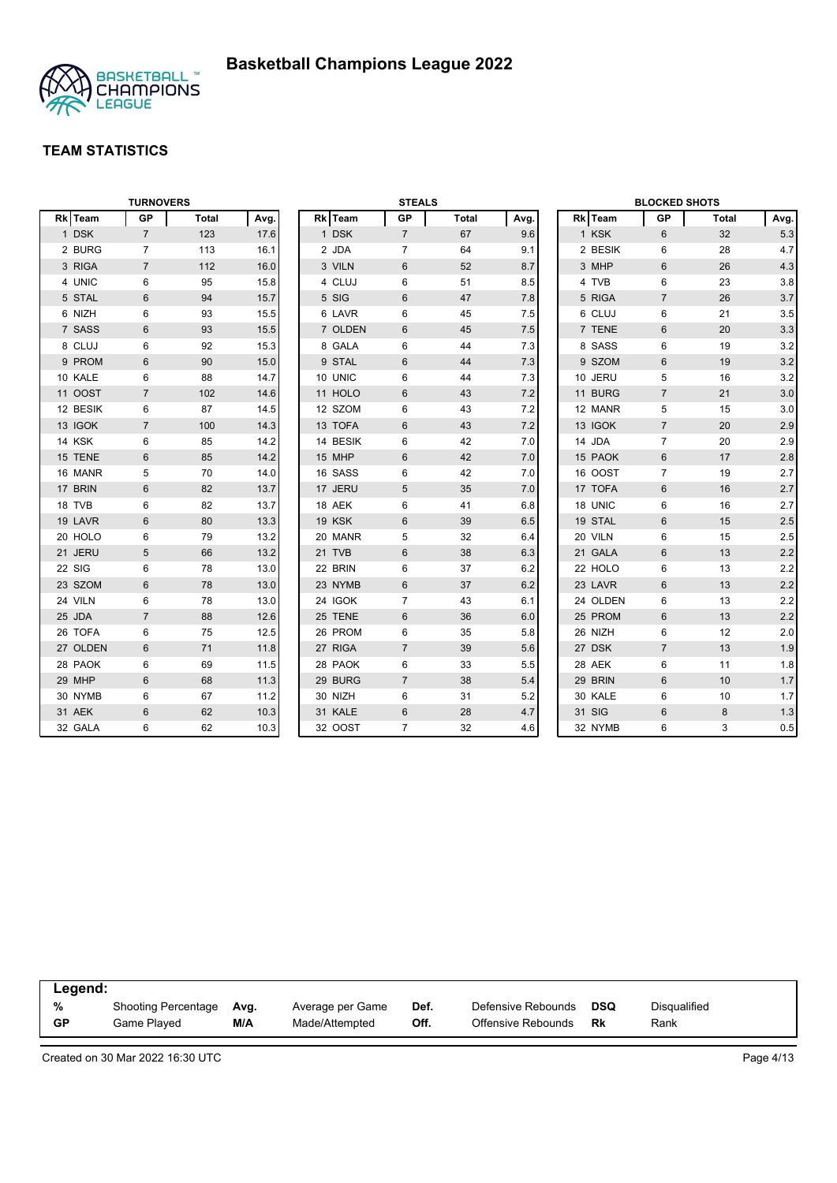

|          | <b>TURNOVERS</b> |              |      |          | <b>STEALS</b>  |              |      |          | <b>BLOCKED SHOTS</b> |       |         |
|----------|------------------|--------------|------|----------|----------------|--------------|------|----------|----------------------|-------|---------|
| Rk Team  | <b>GP</b>        | <b>Total</b> | Avg. | Rk Team  | GP             | <b>Total</b> | Avg. | Rk Team  | GP                   | Total | Avg.    |
| 1 DSK    | $\overline{7}$   | 123          | 17.6 | 1 DSK    | $\overline{7}$ | 67           | 9.6  | 1 KSK    | 6                    | 32    | 5.3     |
| 2 BURG   | $\overline{7}$   | 113          | 16.1 | 2 JDA    | $\overline{7}$ | 64           | 9.1  | 2 BESIK  | 6                    | 28    | 4.7     |
| 3 RIGA   | $\overline{7}$   | 112          | 16.0 | 3 VILN   | 6              | 52           | 8.7  | 3 MHP    | 6                    | 26    | 4.3     |
| 4 UNIC   | 6                | 95           | 15.8 | 4 CLUJ   | 6              | 51           | 8.5  | 4 TVB    | 6                    | 23    | 3.8     |
| 5 STAL   | $6\phantom{1}$   | 94           | 15.7 | 5 SIG    | 6              | 47           | 7.8  | 5 RIGA   | $\overline{7}$       | 26    | 3.7     |
| 6 NIZH   | 6                | 93           | 15.5 | 6 LAVR   | 6              | 45           | 7.5  | 6 CLUJ   | 6                    | 21    | 3.5     |
| 7 SASS   | $6\phantom{1}$   | 93           | 15.5 | 7 OLDEN  | 6              | 45           | 7.5  | 7 TENE   | $6\,$                | 20    | 3.3     |
| 8 CLUJ   | 6                | 92           | 15.3 | 8 GALA   | 6              | 44           | 7.3  | 8 SASS   | $\,6\,$              | 19    | 3.2     |
| 9 PROM   | 6                | 90           | 15.0 | 9 STAL   | 6              | 44           | 7.3  | 9 SZOM   | 6                    | 19    | 3.2     |
| 10 KALE  | 6                | 88           | 14.7 | 10 UNIC  | 6              | 44           | 7.3  | 10 JERU  | 5                    | 16    | 3.2     |
| 11 OOST  | $\overline{7}$   | 102          | 14.6 | 11 HOLO  | 6              | 43           | 7.2  | 11 BURG  | $\overline{7}$       | 21    | 3.0     |
| 12 BESIK | 6                | 87           | 14.5 | 12 SZOM  | 6              | 43           | 7.2  | 12 MANR  | 5                    | 15    | 3.0     |
| 13 IGOK  | $\overline{7}$   | 100          | 14.3 | 13 TOFA  | 6              | 43           | 7.2  | 13 IGOK  | $\overline{7}$       | 20    | 2.9     |
| 14 KSK   | 6                | 85           | 14.2 | 14 BESIK | 6              | 42           | 7.0  | 14 JDA   | $\overline{7}$       | 20    | 2.9     |
| 15 TENE  | $6\phantom{1}$   | 85           | 14.2 | 15 MHP   | 6              | 42           | 7.0  | 15 PAOK  | $6\phantom{1}$       | 17    | $2.8\,$ |
| 16 MANR  | 5                | 70           | 14.0 | 16 SASS  | 6              | 42           | 7.0  | 16 OOST  | $\overline{7}$       | 19    | 2.7     |
| 17 BRIN  | $6\phantom{1}$   | 82           | 13.7 | 17 JERU  | 5              | 35           | 7.0  | 17 TOFA  | 6                    | 16    | 2.7     |
| 18 TVB   | 6                | 82           | 13.7 | 18 AEK   | 6              | 41           | 6.8  | 18 UNIC  | 6                    | 16    | 2.7     |
| 19 LAVR  | 6                | 80           | 13.3 | 19 KSK   | 6              | 39           | 6.5  | 19 STAL  | $6\phantom{1}$       | 15    | 2.5     |
| 20 HOLO  | 6                | 79           | 13.2 | 20 MANR  | 5              | 32           | 6.4  | 20 VILN  | 6                    | 15    | 2.5     |
| 21 JERU  | 5                | 66           | 13.2 | 21 TVB   | $6\,$          | 38           | 6.3  | 21 GALA  | 6                    | 13    | $2.2\,$ |
| 22 SIG   | 6                | 78           | 13.0 | 22 BRIN  | 6              | 37           | 6.2  | 22 HOLO  | 6                    | 13    | 2.2     |
| 23 SZOM  | $\,6\,$          | 78           | 13.0 | 23 NYMB  | 6              | 37           | 6.2  | 23 LAVR  | $6\phantom{1}$       | 13    | $2.2\,$ |
| 24 VILN  | 6                | 78           | 13.0 | 24 IGOK  | $\overline{7}$ | 43           | 6.1  | 24 OLDEN | 6                    | 13    | 2.2     |
| 25 JDA   | $\overline{7}$   | 88           | 12.6 | 25 TENE  | 6              | 36           | 6.0  | 25 PROM  | $6\phantom{1}$       | 13    | 2.2     |
| 26 TOFA  | 6                | 75           | 12.5 | 26 PROM  | 6              | 35           | 5.8  | 26 NIZH  | 6                    | 12    | 2.0     |
| 27 OLDEN | $6\phantom{1}$   | 71           | 11.8 | 27 RIGA  | $\overline{7}$ | 39           | 5.6  | 27 DSK   | $\overline{7}$       | 13    | 1.9     |
| 28 PAOK  | 6                | 69           | 11.5 | 28 PAOK  | 6              | 33           | 5.5  | 28 AEK   | 6                    | 11    | 1.8     |
| 29 MHP   | 6                | 68           | 11.3 | 29 BURG  | $\overline{7}$ | 38           | 5.4  | 29 BRIN  | 6                    | 10    | 1.7     |
| 30 NYMB  | 6                | 67           | 11.2 | 30 NIZH  | 6              | 31           | 5.2  | 30 KALE  | 6                    | 10    | 1.7     |
| 31 AEK   | 6                | 62           | 10.3 | 31 KALE  | 6              | 28           | 4.7  | 31 SIG   | 6                    | 8     | 1.3     |
| 32 GALA  | 6                | 62           | 10.3 | 32 OOST  | $\overline{7}$ | 32           | 4.6  | 32 NYMB  | 6                    | 3     | $0.5\,$ |

| Legend:   |                            |      |                  |      |                    |            |              |
|-----------|----------------------------|------|------------------|------|--------------------|------------|--------------|
| %         | <b>Shooting Percentage</b> | Avg. | Average per Game | Def. | Defensive Rebounds | <b>DSQ</b> | Disqualified |
| <b>GP</b> | Game Played                | M/A  | Made/Attempted   | Off. | Offensive Rebounds | Rk         | Rank         |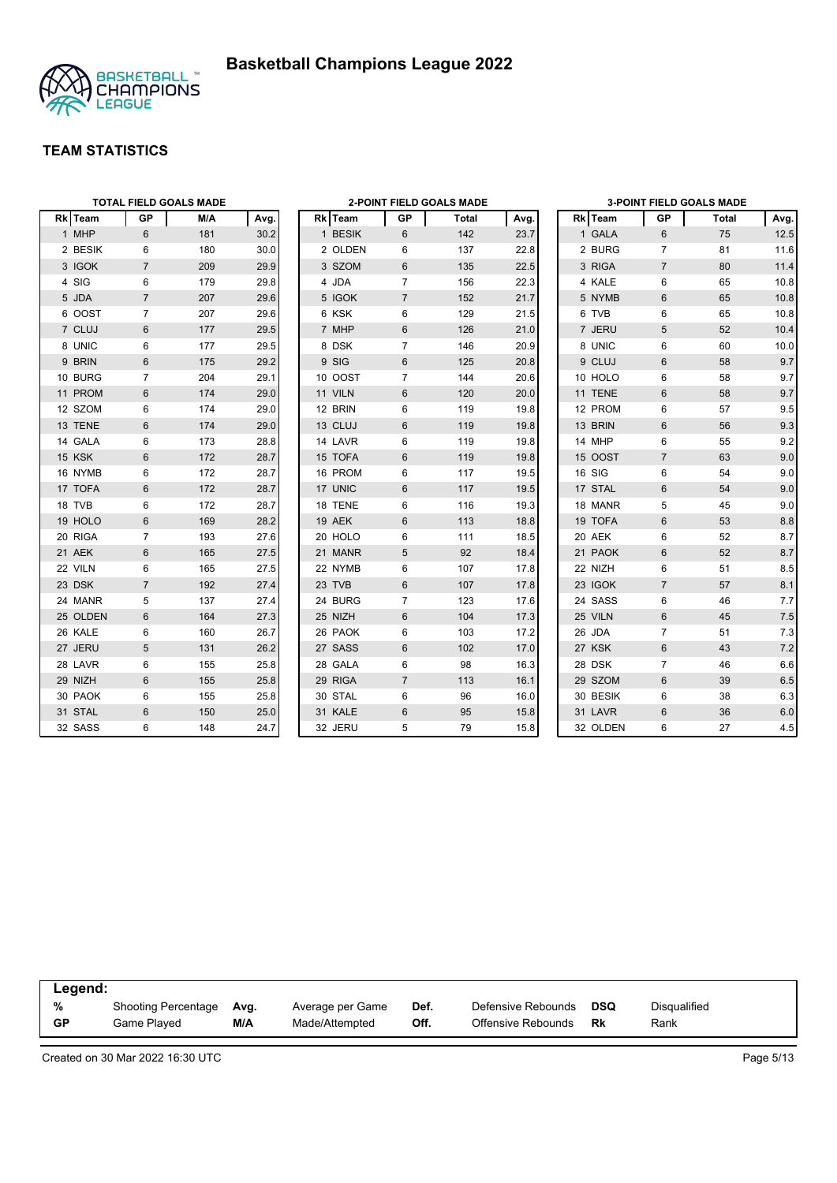



|          |                 | <b>TOTAL FIELD GOALS MADE</b> |      |         |                | <b>2-POINT FIELD GOALS MADE</b> |      |          |                | <b>3-POINT FIELD GOALS MADE</b> |         |
|----------|-----------------|-------------------------------|------|---------|----------------|---------------------------------|------|----------|----------------|---------------------------------|---------|
| Rk Team  | GP              | M/A                           | Avg. | Rk Team | GP             | Total                           | Avg. | Rk Team  | GP             | Total                           | Avg.    |
| 1 MHP    | $6\phantom{1}$  | 181                           | 30.2 | 1 BESIK | 6              | 142                             | 23.7 | 1 GALA   | 6              | 75                              | 12.5    |
| 2 BESIK  | 6               | 180                           | 30.0 | 2 OLDEN | 6              | 137                             | 22.8 | 2 BURG   | $\overline{7}$ | 81                              | 11.6    |
| 3 IGOK   | $\overline{7}$  | 209                           | 29.9 | 3 SZOM  | 6              | 135                             | 22.5 | 3 RIGA   | $\overline{7}$ | 80                              | 11.4    |
| 4 SIG    | 6               | 179                           | 29.8 | 4 JDA   | $\overline{7}$ | 156                             | 22.3 | 4 KALE   | 6              | 65                              | 10.8    |
| 5 JDA    | $\overline{7}$  | 207                           | 29.6 | 5 IGOK  | $\overline{7}$ | 152                             | 21.7 | 5 NYMB   | $6\phantom{1}$ | 65                              | 10.8    |
| 6 OOST   | $\overline{7}$  | 207                           | 29.6 | 6 KSK   | 6              | 129                             | 21.5 | 6 TVB    | 6              | 65                              | 10.8    |
| 7 CLUJ   | $6\phantom{1}6$ | 177                           | 29.5 | 7 MHP   | 6              | 126                             | 21.0 | 7 JERU   | 5              | 52                              | 10.4    |
| 8 UNIC   | 6               | 177                           | 29.5 | 8 DSK   | $\overline{7}$ | 146                             | 20.9 | 8 UNIC   | 6              | 60                              | 10.0    |
| 9 BRIN   | $6\phantom{1}$  | 175                           | 29.2 | 9 SIG   | 6              | 125                             | 20.8 | 9 CLUJ   | 6              | 58                              | 9.7     |
| 10 BURG  | $\overline{7}$  | 204                           | 29.1 | 10 OOST | $\overline{7}$ | 144                             | 20.6 | 10 HOLO  | 6              | 58                              | 9.7     |
| 11 PROM  | 6               | 174                           | 29.0 | 11 VILN | 6              | 120                             | 20.0 | 11 TENE  | 6              | 58                              | 9.7     |
| 12 SZOM  | 6               | 174                           | 29.0 | 12 BRIN | 6              | 119                             | 19.8 | 12 PROM  | 6              | 57                              | 9.5     |
| 13 TENE  | 6               | 174                           | 29.0 | 13 CLUJ | 6              | 119                             | 19.8 | 13 BRIN  | $6\phantom{1}$ | 56                              | 9.3     |
| 14 GALA  | 6               | 173                           | 28.8 | 14 LAVR | 6              | 119                             | 19.8 | 14 MHP   | 6              | 55                              | 9.2     |
| 15 KSK   | 6               | 172                           | 28.7 | 15 TOFA | 6              | 119                             | 19.8 | 15 OOST  | $\overline{7}$ | 63                              | 9.0     |
| 16 NYMB  | 6               | 172                           | 28.7 | 16 PROM | 6              | 117                             | 19.5 | 16 SIG   | 6              | 54                              | 9.0     |
| 17 TOFA  | 6               | 172                           | 28.7 | 17 UNIC | 6              | 117                             | 19.5 | 17 STAL  | $6\phantom{1}$ | 54                              | 9.0     |
| 18 TVB   | 6               | 172                           | 28.7 | 18 TENE | 6              | 116                             | 19.3 | 18 MANR  | 5              | 45                              | 9.0     |
| 19 HOLO  | 6               | 169                           | 28.2 | 19 AEK  | 6              | 113                             | 18.8 | 19 TOFA  | 6              | 53                              | 8.8     |
| 20 RIGA  | $\overline{7}$  | 193                           | 27.6 | 20 HOLO | 6              | 111                             | 18.5 | 20 AEK   | 6              | 52                              | 8.7     |
| 21 AEK   | 6               | 165                           | 27.5 | 21 MANR | 5              | 92                              | 18.4 | 21 PAOK  | 6              | 52                              | 8.7     |
| 22 VILN  | 6               | 165                           | 27.5 | 22 NYMB | 6              | 107                             | 17.8 | 22 NIZH  | 6              | 51                              | 8.5     |
| 23 DSK   | $\overline{7}$  | 192                           | 27.4 | 23 TVB  | 6              | 107                             | 17.8 | 23 IGOK  | $\overline{7}$ | 57                              | 8.1     |
| 24 MANR  | 5               | 137                           | 27.4 | 24 BURG | $\overline{7}$ | 123                             | 17.6 | 24 SASS  | 6              | 46                              | 7.7     |
| 25 OLDEN | 6               | 164                           | 27.3 | 25 NIZH | 6              | 104                             | 17.3 | 25 VILN  | 6              | 45                              | 7.5     |
| 26 KALE  | 6               | 160                           | 26.7 | 26 PAOK | 6              | 103                             | 17.2 | 26 JDA   | $\overline{7}$ | 51                              | 7.3     |
| 27 JERU  | 5               | 131                           | 26.2 | 27 SASS | 6              | 102                             | 17.0 | 27 KSK   | $6\phantom{1}$ | 43                              | 7.2     |
| 28 LAVR  | 6               | 155                           | 25.8 | 28 GALA | 6              | 98                              | 16.3 | 28 DSK   | $\overline{7}$ | 46                              | 6.6     |
| 29 NIZH  | 6               | 155                           | 25.8 | 29 RIGA | $\overline{7}$ | 113                             | 16.1 | 29 SZOM  | 6              | 39                              | 6.5     |
| 30 PAOK  | 6               | 155                           | 25.8 | 30 STAL | 6              | 96                              | 16.0 | 30 BESIK | 6              | 38                              | 6.3     |
| 31 STAL  | 6               | 150                           | 25.0 | 31 KALE | 6              | 95                              | 15.8 | 31 LAVR  | 6              | 36                              | $6.0\,$ |
| 32 SASS  | 6               | 148                           | 24.7 | 32 JERU | 5              | 79                              | 15.8 | 32 OLDEN | 6              | 27                              | 4.5     |

| Legend:   |                            |      |                  |      |                    |            |              |
|-----------|----------------------------|------|------------------|------|--------------------|------------|--------------|
| %         | <b>Shooting Percentage</b> | Avg. | Average per Game | Def. | Defensive Rebounds | <b>DSQ</b> | Disqualified |
| <b>GP</b> | Game Played                | M/A  | Made/Attempted   | Off. | Offensive Rebounds | Rk         | Rank         |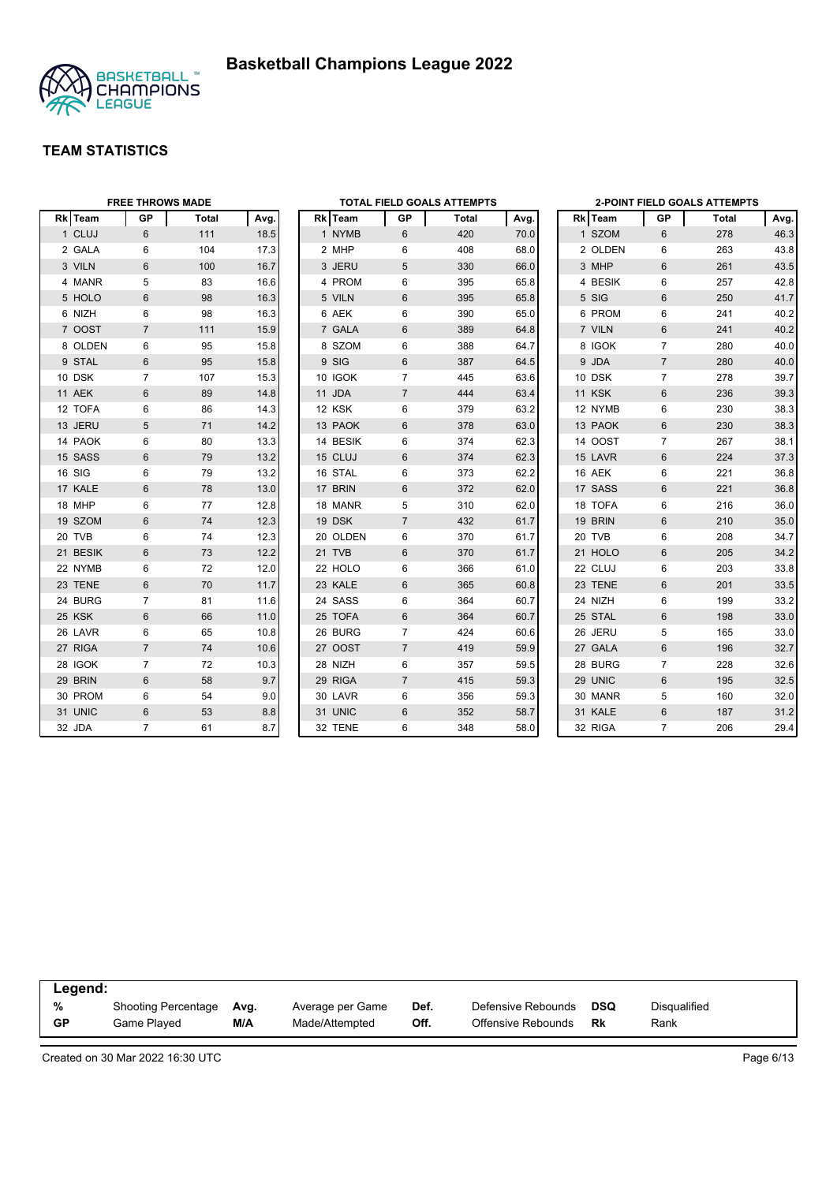



|          | <b>FREE THROWS MADE</b> |              |      |          |                | <b>TOTAL FIELD GOALS ATTEMPTS</b> |      |         |                | <b>2-POINT FIELD GOALS ATTEMPTS</b> |      |
|----------|-------------------------|--------------|------|----------|----------------|-----------------------------------|------|---------|----------------|-------------------------------------|------|
| Rk Team  | <b>GP</b>               | <b>Total</b> | Avg. | Rk Team  | GP             | Total                             | Avg. | Rk Team | GР             | Total                               | Avg. |
| 1 CLUJ   | $6\phantom{1}$          | 111          | 18.5 | 1 NYMB   | 6              | 420                               | 70.0 | 1 SZOM  | 6              | 278                                 | 46.3 |
| 2 GALA   | 6                       | 104          | 17.3 | 2 MHP    | 6              | 408                               | 68.0 | 2 OLDEN | 6              | 263                                 | 43.8 |
| 3 VILN   | 6                       | 100          | 16.7 | 3 JERU   | 5              | 330                               | 66.0 | 3 MHP   | $6\phantom{1}$ | 261                                 | 43.5 |
| 4 MANR   | 5                       | 83           | 16.6 | 4 PROM   | 6              | 395                               | 65.8 | 4 BESIK | 6              | 257                                 | 42.8 |
| 5 HOLO   | 6                       | 98           | 16.3 | 5 VILN   | 6              | 395                               | 65.8 | 5 SIG   | 6              | 250                                 | 41.7 |
| 6 NIZH   | 6                       | 98           | 16.3 | 6 AEK    | 6              | 390                               | 65.0 | 6 PROM  | 6              | 241                                 | 40.2 |
| 7 OOST   | $\overline{7}$          | 111          | 15.9 | 7 GALA   | 6              | 389                               | 64.8 | 7 VILN  | 6              | 241                                 | 40.2 |
| 8 OLDEN  | 6                       | 95           | 15.8 | 8 SZOM   | 6              | 388                               | 64.7 | 8 IGOK  | $\overline{7}$ | 280                                 | 40.0 |
| 9 STAL   | 6                       | 95           | 15.8 | 9 SIG    | 6              | 387                               | 64.5 | 9 JDA   | $\overline{7}$ | 280                                 | 40.0 |
| 10 DSK   | $\overline{7}$          | 107          | 15.3 | 10 IGOK  | $\overline{7}$ | 445                               | 63.6 | 10 DSK  | $\overline{7}$ | 278                                 | 39.7 |
| 11 AEK   | 6                       | 89           | 14.8 | 11 JDA   | $\overline{7}$ | 444                               | 63.4 | 11 KSK  | 6              | 236                                 | 39.3 |
| 12 TOFA  | 6                       | 86           | 14.3 | 12 KSK   | 6              | 379                               | 63.2 | 12 NYMB | 6              | 230                                 | 38.3 |
| 13 JERU  | 5                       | 71           | 14.2 | 13 PAOK  | 6              | 378                               | 63.0 | 13 PAOK | $6\phantom{1}$ | 230                                 | 38.3 |
| 14 PAOK  | 6                       | 80           | 13.3 | 14 BESIK | 6              | 374                               | 62.3 | 14 OOST | $\overline{7}$ | 267                                 | 38.1 |
| 15 SASS  | 6                       | 79           | 13.2 | 15 CLUJ  | 6              | 374                               | 62.3 | 15 LAVR | 6              | 224                                 | 37.3 |
| 16 SIG   | 6                       | 79           | 13.2 | 16 STAL  | 6              | 373                               | 62.2 | 16 AEK  | 6              | 221                                 | 36.8 |
| 17 KALE  | 6                       | 78           | 13.0 | 17 BRIN  | 6              | 372                               | 62.0 | 17 SASS | 6              | 221                                 | 36.8 |
| 18 MHP   | 6                       | 77           | 12.8 | 18 MANR  | 5              | 310                               | 62.0 | 18 TOFA | 6              | 216                                 | 36.0 |
| 19 SZOM  | 6                       | 74           | 12.3 | 19 DSK   | $\overline{7}$ | 432                               | 61.7 | 19 BRIN | $6\phantom{1}$ | 210                                 | 35.0 |
| 20 TVB   | 6                       | 74           | 12.3 | 20 OLDEN | 6              | 370                               | 61.7 | 20 TVB  | 6              | 208                                 | 34.7 |
| 21 BESIK | 6                       | 73           | 12.2 | 21 TVB   | 6              | 370                               | 61.7 | 21 HOLO | 6              | 205                                 | 34.2 |
| 22 NYMB  | 6                       | 72           | 12.0 | 22 HOLO  | 6              | 366                               | 61.0 | 22 CLUJ | 6              | 203                                 | 33.8 |
| 23 TENE  | 6                       | 70           | 11.7 | 23 KALE  | 6              | 365                               | 60.8 | 23 TENE | $\,6\,$        | 201                                 | 33.5 |
| 24 BURG  | $\overline{7}$          | 81           | 11.6 | 24 SASS  | 6              | 364                               | 60.7 | 24 NIZH | 6              | 199                                 | 33.2 |
| 25 KSK   | 6                       | 66           | 11.0 | 25 TOFA  | 6              | 364                               | 60.7 | 25 STAL | 6              | 198                                 | 33.0 |
| 26 LAVR  | 6                       | 65           | 10.8 | 26 BURG  | $\overline{7}$ | 424                               | 60.6 | 26 JERU | 5              | 165                                 | 33.0 |
| 27 RIGA  | $\overline{7}$          | 74           | 10.6 | 27 OOST  | $\overline{7}$ | 419                               | 59.9 | 27 GALA | $\,6\,$        | 196                                 | 32.7 |
| 28 IGOK  | $\overline{7}$          | 72           | 10.3 | 28 NIZH  | 6              | 357                               | 59.5 | 28 BURG | $\overline{7}$ | 228                                 | 32.6 |
| 29 BRIN  | 6                       | 58           | 9.7  | 29 RIGA  | $\overline{7}$ | 415                               | 59.3 | 29 UNIC | 6              | 195                                 | 32.5 |
| 30 PROM  | 6                       | 54           | 9.0  | 30 LAVR  | 6              | 356                               | 59.3 | 30 MANR | 5              | 160                                 | 32.0 |
| 31 UNIC  | 6                       | 53           | 8.8  | 31 UNIC  | 6              | 352                               | 58.7 | 31 KALE | $6\phantom{1}$ | 187                                 | 31.2 |
| 32 JDA   | $\overline{7}$          | 61           | 8.7  | 32 TENE  | 6              | 348                               | 58.0 | 32 RIGA | $\overline{7}$ | 206                                 | 29.4 |

| Legend: |                     |      |                  |      |                    |            |              |
|---------|---------------------|------|------------------|------|--------------------|------------|--------------|
| %       | Shooting Percentage | Ava. | Average per Game | Def. | Defensive Rebounds | <b>DSQ</b> | Disqualified |
| GP      | Game Plaved         | M/A  | Made/Attempted   | Off. | Offensive Rebounds | Rk         | Rank         |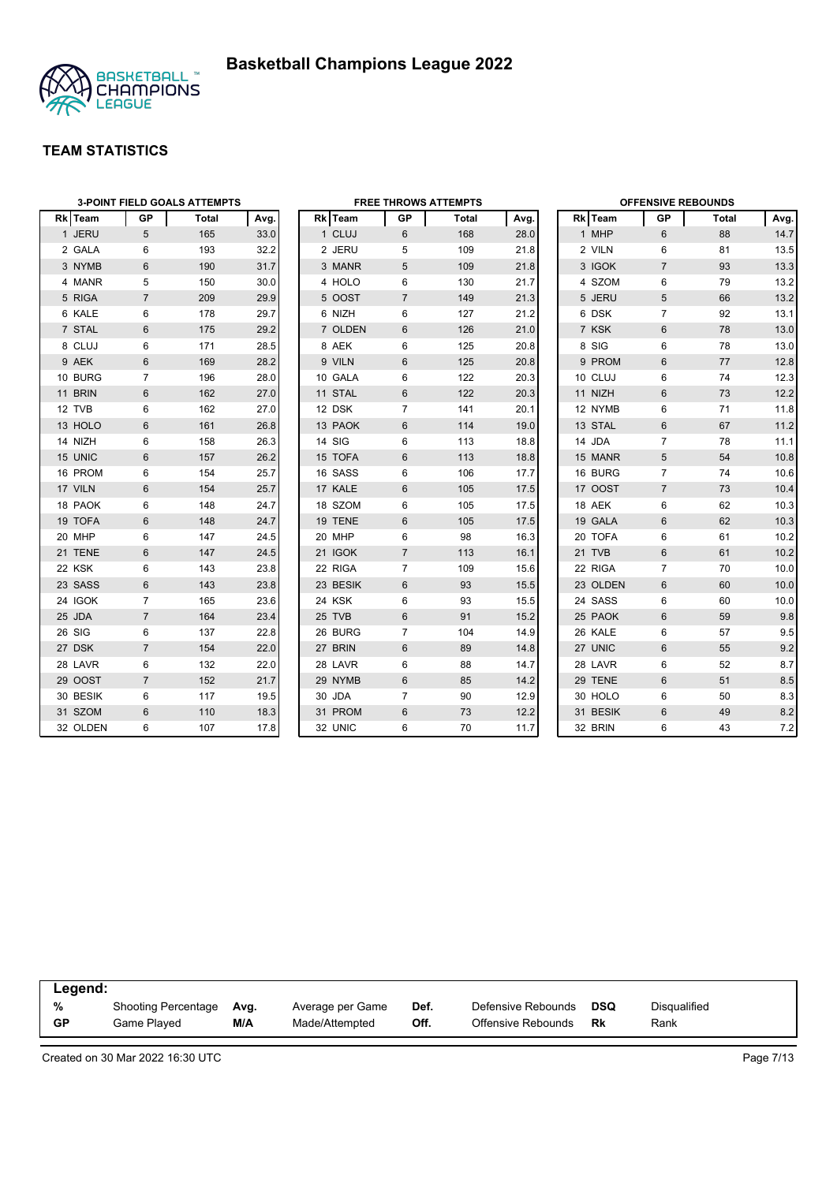

|                | <b>3-POINT FIELD GOALS ATTEMPTS</b> |       |      |  | <b>FREE THROWS ATTEMPTS</b> |                |       |      |  | <b>OFFENSIVE REBOUNDS</b> |                |       |      |  |
|----------------|-------------------------------------|-------|------|--|-----------------------------|----------------|-------|------|--|---------------------------|----------------|-------|------|--|
| <b>Rk</b> Team | GP                                  | Total | Avg. |  | Rk Team                     | GP             | Total | Avg. |  | Rk Team                   | GP             | Total | Avg. |  |
| 1 JERU         | 5                                   | 165   | 33.0 |  | 1 CLUJ                      | 6              | 168   | 28.0 |  | 1 MHP                     | 6              | 88    | 14.7 |  |
| 2 GALA         | 6                                   | 193   | 32.2 |  | 2 JERU                      | 5              | 109   | 21.8 |  | 2 VILN                    | 6              | 81    | 13.5 |  |
| 3 NYMB         | 6                                   | 190   | 31.7 |  | 3 MANR                      | 5              | 109   | 21.8 |  | 3 IGOK                    | $\overline{7}$ | 93    | 13.3 |  |
| 4 MANR         | 5                                   | 150   | 30.0 |  | 4 HOLO                      | 6              | 130   | 21.7 |  | 4 SZOM                    | 6              | 79    | 13.2 |  |
| 5 RIGA         | $\overline{7}$                      | 209   | 29.9 |  | 5 OOST                      | $\overline{7}$ | 149   | 21.3 |  | 5 JERU                    | 5              | 66    | 13.2 |  |
| 6 KALE         | 6                                   | 178   | 29.7 |  | 6 NIZH                      | 6              | 127   | 21.2 |  | 6 DSK                     | $\overline{7}$ | 92    | 13.1 |  |
| 7 STAL         | 6                                   | 175   | 29.2 |  | 7 OLDEN                     | 6              | 126   | 21.0 |  | 7 KSK                     | 6              | 78    | 13.0 |  |
| 8 CLUJ         | 6                                   | 171   | 28.5 |  | 8 AEK                       | 6              | 125   | 20.8 |  | 8 SIG                     | 6              | 78    | 13.0 |  |
| 9 AEK          | 6                                   | 169   | 28.2 |  | 9 VILN                      | 6              | 125   | 20.8 |  | 9 PROM                    | 6              | 77    | 12.8 |  |
| 10 BURG        | $\overline{7}$                      | 196   | 28.0 |  | 10 GALA                     | 6              | 122   | 20.3 |  | 10 CLUJ                   | 6              | 74    | 12.3 |  |
| 11 BRIN        | $6\phantom{1}$                      | 162   | 27.0 |  | 11 STAL                     | 6              | 122   | 20.3 |  | 11 NIZH                   | 6              | 73    | 12.2 |  |
| 12 TVB         | 6                                   | 162   | 27.0 |  | 12 DSK                      | $\overline{7}$ | 141   | 20.1 |  | 12 NYMB                   | 6              | 71    | 11.8 |  |
| 13 HOLO        | 6                                   | 161   | 26.8 |  | 13 PAOK                     | 6              | 114   | 19.0 |  | 13 STAL                   | $6\phantom{1}$ | 67    | 11.2 |  |
| 14 NIZH        | 6                                   | 158   | 26.3 |  | 14 SIG                      | 6              | 113   | 18.8 |  | 14 JDA                    | $\overline{7}$ | 78    | 11.1 |  |
| 15 UNIC        | 6                                   | 157   | 26.2 |  | 15 TOFA                     | 6              | 113   | 18.8 |  | 15 MANR                   | 5              | 54    | 10.8 |  |
| 16 PROM        | 6                                   | 154   | 25.7 |  | 16 SASS                     | 6              | 106   | 17.7 |  | 16 BURG                   | $\overline{7}$ | 74    | 10.6 |  |
| 17 VILN        | 6                                   | 154   | 25.7 |  | 17 KALE                     | 6              | 105   | 17.5 |  | 17 OOST                   | $\overline{7}$ | 73    | 10.4 |  |
| 18 PAOK        | 6                                   | 148   | 24.7 |  | 18 SZOM                     | 6              | 105   | 17.5 |  | 18 AEK                    | 6              | 62    | 10.3 |  |
| 19 TOFA        | 6                                   | 148   | 24.7 |  | 19 TENE                     | 6              | 105   | 17.5 |  | 19 GALA                   | 6              | 62    | 10.3 |  |
| 20 MHP         | 6                                   | 147   | 24.5 |  | 20 MHP                      | 6              | 98    | 16.3 |  | 20 TOFA                   | 6              | 61    | 10.2 |  |
| 21 TENE        | $6\phantom{1}$                      | 147   | 24.5 |  | 21 IGOK                     | $\overline{7}$ | 113   | 16.1 |  | 21 TVB                    | 6              | 61    | 10.2 |  |
| 22 KSK         | 6                                   | 143   | 23.8 |  | 22 RIGA                     | $\overline{7}$ | 109   | 15.6 |  | 22 RIGA                   | $\overline{7}$ | 70    | 10.0 |  |
| 23 SASS        | 6                                   | 143   | 23.8 |  | 23 BESIK                    | 6              | 93    | 15.5 |  | 23 OLDEN                  | $6\phantom{1}$ | 60    | 10.0 |  |
| 24 IGOK        | $\overline{7}$                      | 165   | 23.6 |  | 24 KSK                      | 6              | 93    | 15.5 |  | 24 SASS                   | 6              | 60    | 10.0 |  |
| 25 JDA         | $\overline{7}$                      | 164   | 23.4 |  | 25 TVB                      | $6\phantom{1}$ | 91    | 15.2 |  | 25 PAOK                   | 6              | 59    | 9.8  |  |
| 26 SIG         | 6                                   | 137   | 22.8 |  | 26 BURG                     | $\overline{7}$ | 104   | 14.9 |  | 26 KALE                   | 6              | 57    | 9.5  |  |
| 27 DSK         | $\overline{7}$                      | 154   | 22.0 |  | 27 BRIN                     | 6              | 89    | 14.8 |  | 27 UNIC                   | $6\phantom{1}$ | 55    | 9.2  |  |
| 28 LAVR        | 6                                   | 132   | 22.0 |  | 28 LAVR                     | 6              | 88    | 14.7 |  | 28 LAVR                   | 6              | 52    | 8.7  |  |
| 29 OOST        | $\overline{7}$                      | 152   | 21.7 |  | 29 NYMB                     | 6              | 85    | 14.2 |  | 29 TENE                   | 6              | 51    | 8.5  |  |
| 30 BESIK       | 6                                   | 117   | 19.5 |  | 30 JDA                      | $\overline{7}$ | 90    | 12.9 |  | 30 HOLO                   | 6              | 50    | 8.3  |  |
| 31 SZOM        | 6                                   | 110   | 18.3 |  | 31 PROM                     | 6              | 73    | 12.2 |  | 31 BESIK                  | 6              | 49    | 8.2  |  |
| 32 OLDEN       | 6                                   | 107   | 17.8 |  | 32 UNIC                     | 6              | 70    | 11.7 |  | 32 BRIN                   | 6              | 43    | 7.2  |  |

|           | Legend:                    |      |                  |      |                    |            |              |  |  |  |  |  |
|-----------|----------------------------|------|------------------|------|--------------------|------------|--------------|--|--|--|--|--|
| %         | <b>Shooting Percentage</b> | Avg. | Average per Game | Def. | Defensive Rebounds | <b>DSQ</b> | Disqualified |  |  |  |  |  |
| <b>GP</b> | Game Played                | M/A  | Made/Attempted   | Off. | Offensive Rebounds | Rk         | Rank         |  |  |  |  |  |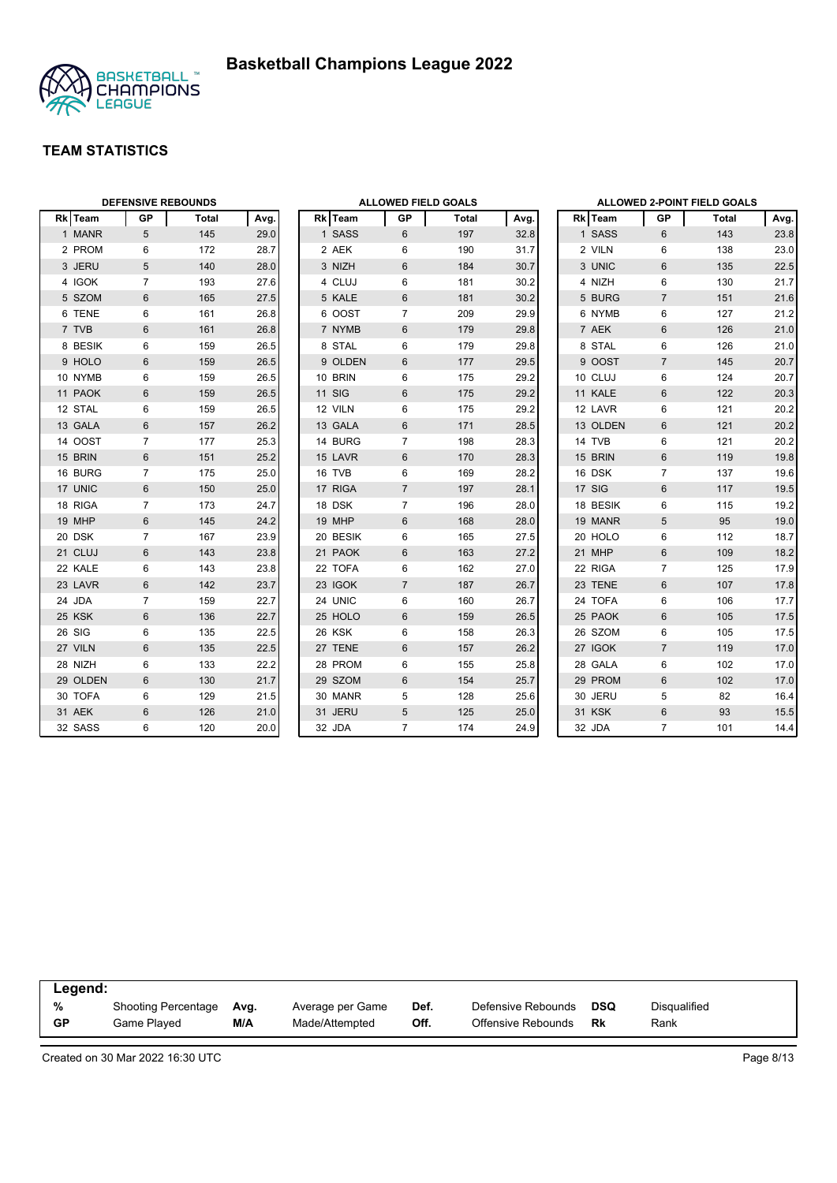



|          | <b>DEFENSIVE REBOUNDS</b> |              |      | <b>ALLOWED FIELD GOALS</b> |               |                |              |      | <b>ALLOWED 2-POINT FIELD GOALS</b> |                |                |       |      |
|----------|---------------------------|--------------|------|----------------------------|---------------|----------------|--------------|------|------------------------------------|----------------|----------------|-------|------|
| Rk Team  | <b>GP</b>                 | <b>Total</b> | Avg. |                            | Rk Team       | GP             | <b>Total</b> | Avg. |                                    | <b>Rk</b> Team | GP             | Total | Avg. |
| 1 MANR   | 5                         | 145          | 29.0 |                            | 1 SASS        | 6              | 197          | 32.8 |                                    | 1 SASS         | 6              | 143   | 23.8 |
| 2 PROM   | 6                         | 172          | 28.7 |                            | 2 AEK         | 6              | 190          | 31.7 |                                    | 2 VILN         | 6              | 138   | 23.0 |
| 3 JERU   | 5                         | 140          | 28.0 |                            | 3 NIZH        | 6              | 184          | 30.7 |                                    | 3 UNIC         | 6              | 135   | 22.5 |
| 4 IGOK   | $\overline{7}$            | 193          | 27.6 |                            | 4 CLUJ        | 6              | 181          | 30.2 |                                    | 4 NIZH         | 6              | 130   | 21.7 |
| 5 SZOM   | 6                         | 165          | 27.5 |                            | 5 KALE        | 6              | 181          | 30.2 |                                    | 5 BURG         | $\overline{7}$ | 151   | 21.6 |
| 6 TENE   | 6                         | 161          | 26.8 |                            | 6 OOST        | $\overline{7}$ | 209          | 29.9 |                                    | 6 NYMB         | 6              | 127   | 21.2 |
| 7 TVB    | 6                         | 161          | 26.8 |                            | 7 NYMB        | 6              | 179          | 29.8 |                                    | 7 AEK          | $6\,$          | 126   | 21.0 |
| 8 BESIK  | 6                         | 159          | 26.5 |                            | 8 STAL        | 6              | 179          | 29.8 |                                    | 8 STAL         | 6              | 126   | 21.0 |
| 9 HOLO   | 6                         | 159          | 26.5 |                            | 9 OLDEN       | 6              | 177          | 29.5 |                                    | 9 OOST         | $\overline{7}$ | 145   | 20.7 |
| 10 NYMB  | 6                         | 159          | 26.5 |                            | 10 BRIN       | 6              | 175          | 29.2 |                                    | 10 CLUJ        | 6              | 124   | 20.7 |
| 11 PAOK  | 6                         | 159          | 26.5 |                            | <b>11 SIG</b> | 6              | 175          | 29.2 |                                    | 11 KALE        | 6              | 122   | 20.3 |
| 12 STAL  | 6                         | 159          | 26.5 |                            | 12 VILN       | 6              | 175          | 29.2 |                                    | 12 LAVR        | $\,6\,$        | 121   | 20.2 |
| 13 GALA  | 6                         | 157          | 26.2 |                            | 13 GALA       | 6              | 171          | 28.5 |                                    | 13 OLDEN       | $6\phantom{1}$ | 121   | 20.2 |
| 14 OOST  | $\overline{7}$            | 177          | 25.3 |                            | 14 BURG       | $\overline{7}$ | 198          | 28.3 |                                    | 14 TVB         | 6              | 121   | 20.2 |
| 15 BRIN  | 6                         | 151          | 25.2 |                            | 15 LAVR       | 6              | 170          | 28.3 |                                    | 15 BRIN        | 6              | 119   | 19.8 |
| 16 BURG  | $\overline{7}$            | 175          | 25.0 |                            | 16 TVB        | 6              | 169          | 28.2 |                                    | 16 DSK         | $\overline{7}$ | 137   | 19.6 |
| 17 UNIC  | 6                         | 150          | 25.0 |                            | 17 RIGA       | $\overline{7}$ | 197          | 28.1 |                                    | 17 SIG         | 6              | 117   | 19.5 |
| 18 RIGA  | $\overline{7}$            | 173          | 24.7 |                            | 18 DSK        | $\overline{7}$ | 196          | 28.0 |                                    | 18 BESIK       | 6              | 115   | 19.2 |
| 19 MHP   | 6                         | 145          | 24.2 |                            | 19 MHP        | 6              | 168          | 28.0 |                                    | 19 MANR        | 5              | 95    | 19.0 |
| 20 DSK   | $\overline{7}$            | 167          | 23.9 |                            | 20 BESIK      | 6              | 165          | 27.5 |                                    | 20 HOLO        | 6              | 112   | 18.7 |
| 21 CLUJ  | 6                         | 143          | 23.8 |                            | 21 PAOK       | 6              | 163          | 27.2 |                                    | 21 MHP         | 6              | 109   | 18.2 |
| 22 KALE  | 6                         | 143          | 23.8 |                            | 22 TOFA       | 6              | 162          | 27.0 |                                    | 22 RIGA        | $\overline{7}$ | 125   | 17.9 |
| 23 LAVR  | 6                         | 142          | 23.7 |                            | 23 IGOK       | $\overline{7}$ | 187          | 26.7 |                                    | 23 TENE        | $6\phantom{1}$ | 107   | 17.8 |
| 24 JDA   | $\overline{7}$            | 159          | 22.7 |                            | 24 UNIC       | 6              | 160          | 26.7 |                                    | 24 TOFA        | 6              | 106   | 17.7 |
| 25 KSK   | 6                         | 136          | 22.7 |                            | 25 HOLO       | 6              | 159          | 26.5 |                                    | 25 PAOK        | $6\,$          | 105   | 17.5 |
| 26 SIG   | 6                         | 135          | 22.5 |                            | 26 KSK        | 6              | 158          | 26.3 |                                    | 26 SZOM        | $\,6\,$        | 105   | 17.5 |
| 27 VILN  | 6                         | 135          | 22.5 |                            | 27 TENE       | 6              | 157          | 26.2 |                                    | 27 IGOK        | $\overline{7}$ | 119   | 17.0 |
| 28 NIZH  | 6                         | 133          | 22.2 |                            | 28 PROM       | 6              | 155          | 25.8 |                                    | 28 GALA        | 6              | 102   | 17.0 |
| 29 OLDEN | 6                         | 130          | 21.7 |                            | 29 SZOM       | 6              | 154          | 25.7 |                                    | 29 PROM        | 6              | 102   | 17.0 |
| 30 TOFA  | 6                         | 129          | 21.5 |                            | 30 MANR       | 5              | 128          | 25.6 |                                    | 30 JERU        | 5              | 82    | 16.4 |
| 31 AEK   | 6                         | 126          | 21.0 |                            | 31 JERU       | 5              | 125          | 25.0 |                                    | 31 KSK         | $6\,$          | 93    | 15.5 |
| 32 SASS  | 6                         | 120          | 20.0 |                            | 32 JDA        | $\overline{7}$ | 174          | 24.9 |                                    | 32 JDA         | $\overline{7}$ | 101   | 14.4 |

|    | Legend:                    |      |                  |      |                    |            |              |  |  |  |  |  |
|----|----------------------------|------|------------------|------|--------------------|------------|--------------|--|--|--|--|--|
| %  | <b>Shooting Percentage</b> | Avg. | Average per Game | Def. | Defensive Rebounds | <b>DSQ</b> | Disqualified |  |  |  |  |  |
| GP | Game Played                | M/A  | Made/Attempted   | Off. | Offensive Rebounds | Rk         | Rank         |  |  |  |  |  |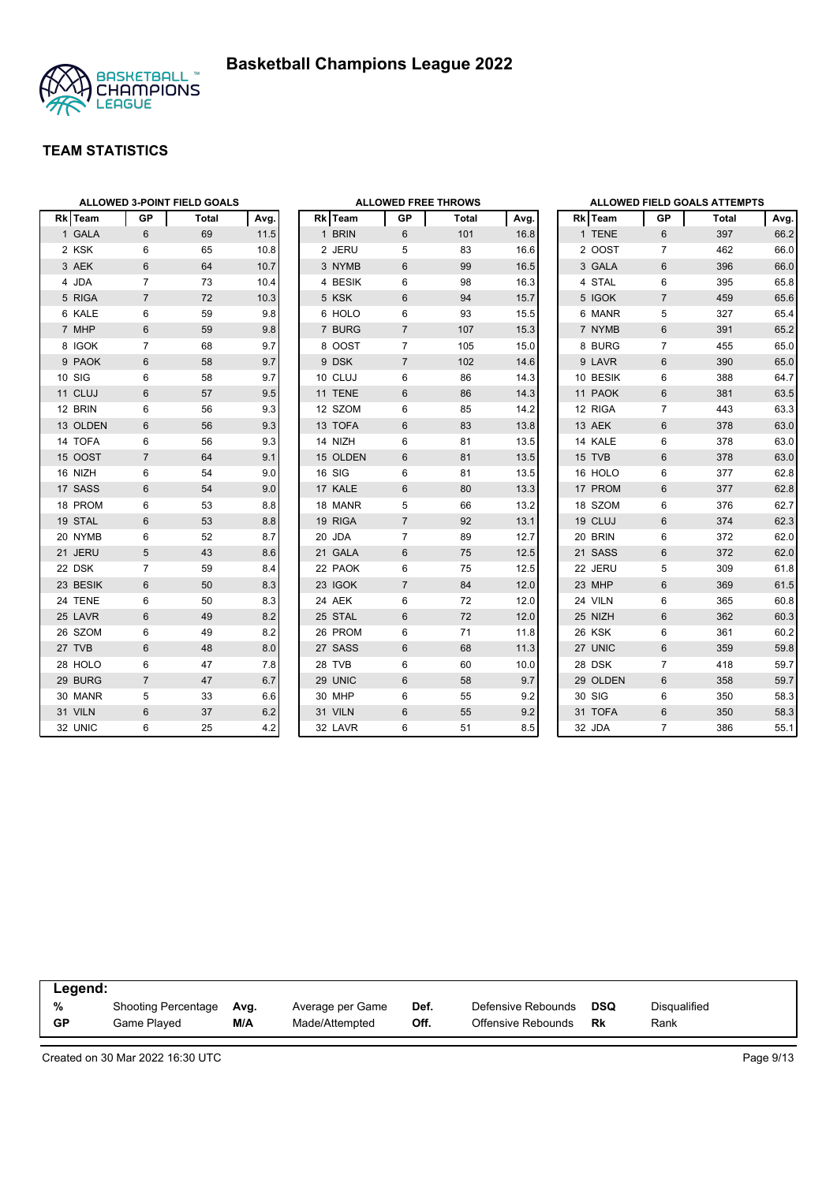

|          | ALLOWED 3-POINT FIELD GOALS |              |      |  | <b>ALLOWED FREE THROWS</b> |                |       |      |  | ALLOWED FIELD GOALS ATTEMPTS |                |       |      |  |
|----------|-----------------------------|--------------|------|--|----------------------------|----------------|-------|------|--|------------------------------|----------------|-------|------|--|
| Rk Team  | GP                          | <b>Total</b> | Avg. |  | Rk Team                    | GP             | Total | Avg. |  | Rk Team                      | GP             | Total | Avg. |  |
| 1 GALA   | $6\phantom{1}$              | 69           | 11.5 |  | 1 BRIN                     | 6              | 101   | 16.8 |  | 1 TENE                       | 6              | 397   | 66.2 |  |
| 2 KSK    | 6                           | 65           | 10.8 |  | 2 JERU                     | 5              | 83    | 16.6 |  | 2 OOST                       | $\overline{7}$ | 462   | 66.0 |  |
| 3 AEK    | 6                           | 64           | 10.7 |  | 3 NYMB                     | 6              | 99    | 16.5 |  | 3 GALA                       | 6              | 396   | 66.0 |  |
| 4 JDA    | $\overline{7}$              | 73           | 10.4 |  | 4 BESIK                    | 6              | 98    | 16.3 |  | 4 STAL                       | 6              | 395   | 65.8 |  |
| 5 RIGA   | $\overline{7}$              | 72           | 10.3 |  | 5 KSK                      | 6              | 94    | 15.7 |  | 5 IGOK                       | $\overline{7}$ | 459   | 65.6 |  |
| 6 KALE   | 6                           | 59           | 9.8  |  | 6 HOLO                     | 6              | 93    | 15.5 |  | 6 MANR                       | 5              | 327   | 65.4 |  |
| 7 MHP    | 6                           | 59           | 9.8  |  | 7 BURG                     | $\overline{7}$ | 107   | 15.3 |  | 7 NYMB                       | $6\phantom{1}$ | 391   | 65.2 |  |
| 8 IGOK   | 7                           | 68           | 9.7  |  | 8 OOST                     | $\overline{7}$ | 105   | 15.0 |  | 8 BURG                       | $\overline{7}$ | 455   | 65.0 |  |
| 9 PAOK   | 6                           | 58           | 9.7  |  | 9 DSK                      | $\overline{7}$ | 102   | 14.6 |  | 9 LAVR                       | 6              | 390   | 65.0 |  |
| 10 SIG   | 6                           | 58           | 9.7  |  | 10 CLUJ                    | 6              | 86    | 14.3 |  | 10 BESIK                     | 6              | 388   | 64.7 |  |
| 11 CLUJ  | 6                           | 57           | 9.5  |  | 11 TENE                    | 6              | 86    | 14.3 |  | 11 PAOK                      | 6              | 381   | 63.5 |  |
| 12 BRIN  | 6                           | 56           | 9.3  |  | 12 SZOM                    | 6              | 85    | 14.2 |  | 12 RIGA                      | $\overline{7}$ | 443   | 63.3 |  |
| 13 OLDEN | $6\phantom{1}$              | 56           | 9.3  |  | 13 TOFA                    | 6              | 83    | 13.8 |  | 13 AEK                       | $6\phantom{1}$ | 378   | 63.0 |  |
| 14 TOFA  | 6                           | 56           | 9.3  |  | 14 NIZH                    | 6              | 81    | 13.5 |  | 14 KALE                      | 6              | 378   | 63.0 |  |
| 15 OOST  | $\overline{7}$              | 64           | 9.1  |  | 15 OLDEN                   | 6              | 81    | 13.5 |  | 15 TVB                       | 6              | 378   | 63.0 |  |
| 16 NIZH  | 6                           | 54           | 9.0  |  | 16 SIG                     | 6              | 81    | 13.5 |  | 16 HOLO                      | 6              | 377   | 62.8 |  |
| 17 SASS  | 6                           | 54           | 9.0  |  | 17 KALE                    | 6              | 80    | 13.3 |  | 17 PROM                      | $6\phantom{1}$ | 377   | 62.8 |  |
| 18 PROM  | 6                           | 53           | 8.8  |  | 18 MANR                    | 5              | 66    | 13.2 |  | 18 SZOM                      | 6              | 376   | 62.7 |  |
| 19 STAL  | 6                           | 53           | 8.8  |  | 19 RIGA                    | $\overline{7}$ | 92    | 13.1 |  | 19 CLUJ                      | 6              | 374   | 62.3 |  |
| 20 NYMB  | 6                           | 52           | 8.7  |  | 20 JDA                     | $\overline{7}$ | 89    | 12.7 |  | 20 BRIN                      | 6              | 372   | 62.0 |  |
| 21 JERU  | 5                           | 43           | 8.6  |  | 21 GALA                    | 6              | 75    | 12.5 |  | 21 SASS                      | 6              | 372   | 62.0 |  |
| 22 DSK   | $\overline{7}$              | 59           | 8.4  |  | 22 PAOK                    | 6              | 75    | 12.5 |  | 22 JERU                      | 5              | 309   | 61.8 |  |
| 23 BESIK | 6                           | 50           | 8.3  |  | 23 IGOK                    | $\overline{7}$ | 84    | 12.0 |  | 23 MHP                       | $6\,$          | 369   | 61.5 |  |
| 24 TENE  | 6                           | 50           | 8.3  |  | 24 AEK                     | 6              | 72    | 12.0 |  | 24 VILN                      | 6              | 365   | 60.8 |  |
| 25 LAVR  | 6                           | 49           | 8.2  |  | 25 STAL                    | 6              | 72    | 12.0 |  | 25 NIZH                      | 6              | 362   | 60.3 |  |
| 26 SZOM  | 6                           | 49           | 8.2  |  | 26 PROM                    | 6              | 71    | 11.8 |  | 26 KSK                       | 6              | 361   | 60.2 |  |
| 27 TVB   | 6                           | 48           | 8.0  |  | 27 SASS                    | 6              | 68    | 11.3 |  | 27 UNIC                      | 6              | 359   | 59.8 |  |
| 28 HOLO  | 6                           | 47           | 7.8  |  | 28 TVB                     | 6              | 60    | 10.0 |  | 28 DSK                       | $\overline{7}$ | 418   | 59.7 |  |
| 29 BURG  | $\overline{7}$              | 47           | 6.7  |  | 29 UNIC                    | 6              | 58    | 9.7  |  | 29 OLDEN                     | 6              | 358   | 59.7 |  |
| 30 MANR  | 5                           | 33           | 6.6  |  | 30 MHP                     | 6              | 55    | 9.2  |  | 30 SIG                       | 6              | 350   | 58.3 |  |
| 31 VILN  | 6                           | 37           | 6.2  |  | 31 VILN                    | 6              | 55    | 9.2  |  | 31 TOFA                      | 6              | 350   | 58.3 |  |
| 32 UNIC  | 6                           | 25           | 4.2  |  | 32 LAVR                    | 6              | 51    | 8.5  |  | 32 JDA                       | $\overline{7}$ | 386   | 55.1 |  |

|           | Legend:             |      |                  |      |                    |            |              |  |  |  |  |  |
|-----------|---------------------|------|------------------|------|--------------------|------------|--------------|--|--|--|--|--|
| %         | Shooting Percentage | Avg. | Average per Game | Def. | Defensive Rebounds | <b>DSQ</b> | Disgualified |  |  |  |  |  |
| <b>GP</b> | Game Plaved         | M/A  | Made/Attempted   | Off. | Offensive Rebounds | Rk         | Rank         |  |  |  |  |  |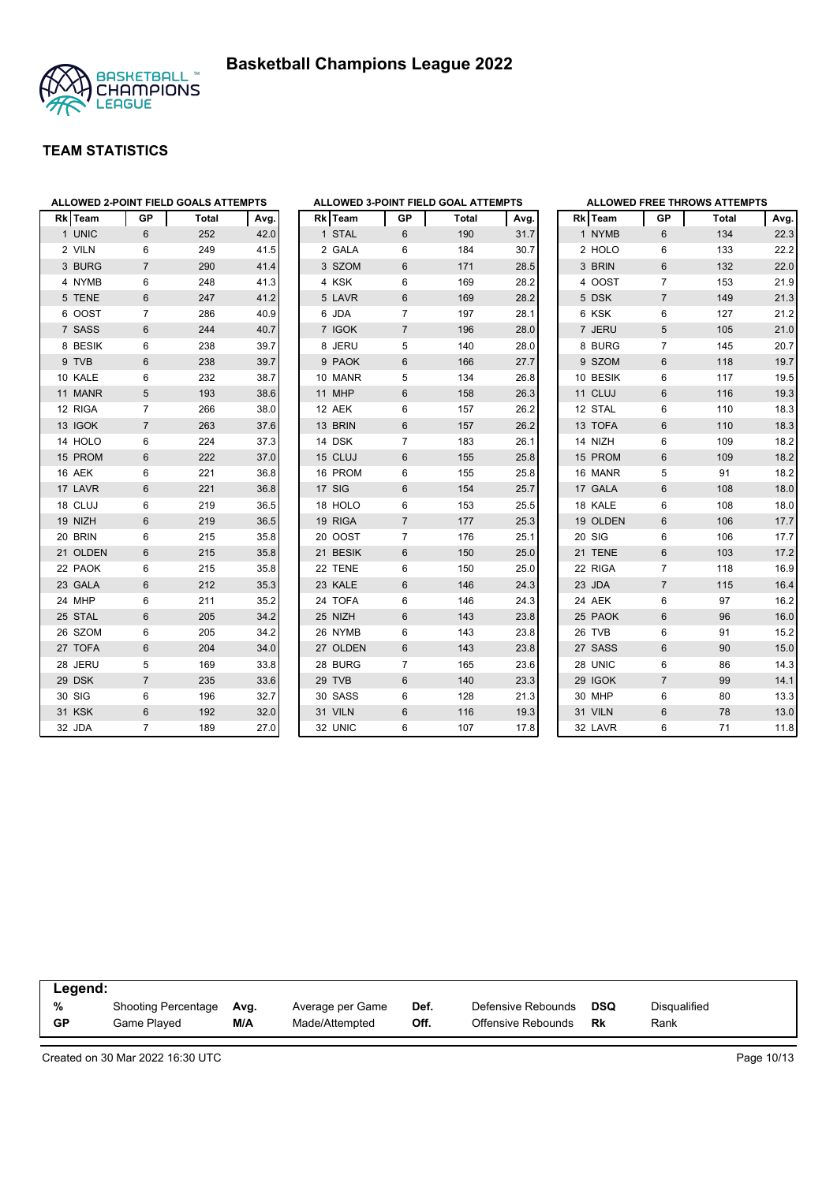



| <b>Rk</b> Team | GP             | <b>Total</b> | Avg. |
|----------------|----------------|--------------|------|
| 1 UNIC         | 6              | 252          | 42.0 |
| 2 VILN         | 6              | 249          | 41.5 |
| 3 BURG         | $\overline{7}$ | 290          | 41.4 |
| 4 NYMB         | 6              | 248          | 41.3 |
| 5 TENE         | 6              | 247          | 41.2 |
| 6 OOST         | 7              | 286          | 40.9 |
| 7 SASS         | 6              | 244          | 40.7 |
| 8 BESIK        | 6              | 238          | 39.7 |
| 9 TVB          | 6              | 238          | 39.7 |
| 10 KALE        | 6              | 232          | 38.7 |
| 11 MANR        | 5              | 193          | 38.6 |
| 12 RIGA        | 7              | 266          | 38.0 |
| 13 IGOK        | $\overline{7}$ | 263          | 37.6 |
| 14 HOLO        | 6              | 224          | 37.3 |
| 15 PROM        | 6              | 222          | 37.0 |
| 16 AEK         | 6              | 221          | 36.8 |
| 17 LAVR        | 6              | 221          | 36.8 |
| 18 CLUJ        | 6              | 219          | 36.5 |
| 19 NIZH        | 6              | 219          | 36.5 |
| 20 BRIN        | 6              | 215          | 35.8 |
| 21 OLDEN       | 6              | 215          | 35.8 |
| 22 PAOK        | 6              | 215          | 35.8 |
| 23 GALA        | 6              | 212          | 35.3 |
| 24 MHP         | 6              | 211          | 35.2 |
| 25 STAL        | 6              | 205          | 34.2 |
| 26 SZOM        | 6              | 205          | 34.2 |
| 27 TOFA        | 6              | 204          | 34.0 |
| 28 JERU        | 5              | 169          | 33.8 |
| 29 DSK         | $\overline{7}$ | 235          | 33.6 |
| 30 SIG         | 6              | 196          | 32.7 |
| 31 KSK         | 6              | 192          | 32.0 |
| 32 JDA         | 7              | 189          | 27.0 |

|                |              |                | ALLOWED 3-POINT FIELD GOAL ATTEMPTS |      |
|----------------|--------------|----------------|-------------------------------------|------|
|                | Rk Team      | <b>GP</b>      | <b>Total</b>                        | Avg. |
| $\mathbf{1}$   | <b>STAL</b>  | 6              | 190                                 | 31.7 |
|                | 2 GALA       | 6              | 184                                 | 30.7 |
|                | 3 SZOM       | 6              | 171                                 | 28.5 |
|                | 4 KSK        | 6              | 169                                 | 28.2 |
|                | 5 LAVR       | 6              | 169                                 | 28.2 |
| 6              | <b>JDA</b>   | 7              | 197                                 | 28.1 |
| $\overline{7}$ | <b>IGOK</b>  | $\overline{7}$ | 196                                 | 28.0 |
| 8              | <b>JERU</b>  | 5              | 140                                 | 28.0 |
|                | 9 PAOK       | 6              | 166                                 | 27.7 |
|                | 10 MANR      | 5              | 134                                 | 26.8 |
| 11             | <b>MHP</b>   | 6              | 158                                 | 26.3 |
|                | 12 AEK       | 6              | 157                                 | 26.2 |
|                | 13 BRIN      | 6              | 157                                 | 26.2 |
|                | 14 DSK       | $\overline{7}$ | 183                                 | 26.1 |
|                | 15 CLUJ      | 6              | 155                                 | 25.8 |
|                | 16 PROM      | 6              | 155                                 | 25.8 |
| 17             | <b>SIG</b>   | 6              | 154                                 | 25.7 |
| 18             | <b>HOLO</b>  | 6              | 153                                 | 25.5 |
|                | 19 RIGA      | $\overline{7}$ | 177                                 | 25.3 |
|                | 20 OOST      | 7              | 176                                 | 25.1 |
| 21             | <b>BESIK</b> | 6              | 150                                 | 25.0 |
| 22             | <b>TENE</b>  | 6              | 150                                 | 25.0 |
| 23             | <b>KALE</b>  | 6              | 146                                 | 24.3 |
|                | 24 TOFA      | 6              | 146                                 | 24.3 |
|                | 25 NIZH      | 6              | 143                                 | 23.8 |
| 26             | <b>NYMB</b>  | 6              | 143                                 | 23.8 |
|                | 27 OLDEN     | 6              | 143                                 | 23.8 |
| 28             | <b>BURG</b>  | 7              | 165                                 | 23.6 |
| 29             | <b>TVB</b>   | 6              | 140                                 | 23.3 |
|                | 30 SASS      | 6              | 128                                 | 21.3 |
|                | 31 VILN      | 6              | 116                                 | 19.3 |
| 32             | <b>UNIC</b>  | 6              | 107                                 | 17.8 |

|                |             | <b>ALLOWED FREE THROWS ATTEMPTS</b> |              |      |  |  |  |  |  |  |  |  |  |
|----------------|-------------|-------------------------------------|--------------|------|--|--|--|--|--|--|--|--|--|
|                | Rk Team     | <b>GP</b>                           | <b>Total</b> | Avg. |  |  |  |  |  |  |  |  |  |
| $\mathbf{1}$   | <b>NYMB</b> | 6                                   | 134          | 22.3 |  |  |  |  |  |  |  |  |  |
|                | 2 HOLO      | 6                                   | 133          | 22.2 |  |  |  |  |  |  |  |  |  |
| 3              | <b>BRIN</b> | 6                                   | 132          | 22.0 |  |  |  |  |  |  |  |  |  |
| 4              | <b>OOST</b> | 7                                   | 153          | 21.9 |  |  |  |  |  |  |  |  |  |
| 5              | <b>DSK</b>  | 7                                   | 149          | 21.3 |  |  |  |  |  |  |  |  |  |
| 6              | <b>KSK</b>  | 6                                   | 127          | 21.2 |  |  |  |  |  |  |  |  |  |
| $\overline{7}$ | <b>JERU</b> | 5                                   | 105          | 21.0 |  |  |  |  |  |  |  |  |  |
| 8              | <b>BURG</b> | 7                                   | 145          | 20.7 |  |  |  |  |  |  |  |  |  |
| 9              | <b>SZOM</b> | 6                                   | 118          | 19.7 |  |  |  |  |  |  |  |  |  |
|                | 10 BESIK    | 6                                   | 117          | 19.5 |  |  |  |  |  |  |  |  |  |
| 11             | <b>CLUJ</b> | 6                                   | 116          | 19.3 |  |  |  |  |  |  |  |  |  |
|                | 12 STAL     | 6                                   | 110          | 18.3 |  |  |  |  |  |  |  |  |  |
|                | 13 TOFA     | 6                                   | 110          | 18.3 |  |  |  |  |  |  |  |  |  |
|                | 14 NIZH     | 6                                   | 109          | 18.2 |  |  |  |  |  |  |  |  |  |
|                | 15 PROM     | 6                                   | 109          | 18.2 |  |  |  |  |  |  |  |  |  |
|                | 16 MANR     | 5                                   | 91           | 18.2 |  |  |  |  |  |  |  |  |  |
|                | 17 GALA     | 6                                   | 108          | 18.0 |  |  |  |  |  |  |  |  |  |
|                | 18 KALE     | 6                                   | 108          | 18.0 |  |  |  |  |  |  |  |  |  |
|                | 19 OLDEN    | 6                                   | 106          | 17.7 |  |  |  |  |  |  |  |  |  |
|                | 20 SIG      | 6                                   | 106          | 17.7 |  |  |  |  |  |  |  |  |  |
| 21             | <b>TENE</b> | 6                                   | 103          | 17.2 |  |  |  |  |  |  |  |  |  |
|                | 22 RIGA     | 7                                   | 118          | 16.9 |  |  |  |  |  |  |  |  |  |
|                | 23 JDA      | $\overline{7}$                      | 115          | 16.4 |  |  |  |  |  |  |  |  |  |
|                | 24 AEK      | 6                                   | 97           | 16.2 |  |  |  |  |  |  |  |  |  |
| 25             | <b>PAOK</b> | 6                                   | 96           | 16.0 |  |  |  |  |  |  |  |  |  |
| 26             | <b>TVB</b>  | 6                                   | 91           | 15.2 |  |  |  |  |  |  |  |  |  |
| 27             | <b>SASS</b> | 6                                   | 90           | 15.0 |  |  |  |  |  |  |  |  |  |
|                | 28 UNIC     | 6                                   | 86           | 14.3 |  |  |  |  |  |  |  |  |  |
| 29             | <b>IGOK</b> | $\overline{7}$                      | 99           | 14.1 |  |  |  |  |  |  |  |  |  |
|                | 30 MHP      | 6                                   | 80           | 13.3 |  |  |  |  |  |  |  |  |  |
|                | 31 VILN     | 6                                   | 78           | 13.0 |  |  |  |  |  |  |  |  |  |
|                | 32 LAVR     | 6                                   | 71           | 11.8 |  |  |  |  |  |  |  |  |  |

|                | Legend:                                   |             |                                    |              |                                          |           |                      |  |  |  |  |
|----------------|-------------------------------------------|-------------|------------------------------------|--------------|------------------------------------------|-----------|----------------------|--|--|--|--|
| %<br><b>GP</b> | <b>Shooting Percentage</b><br>Game Played | Avg.<br>M/A | Average per Game<br>Made/Attempted | Def.<br>Off. | Defensive Rebounds<br>Offensive Rebounds | DSQ<br>Rk | Disqualified<br>Rank |  |  |  |  |
|                |                                           |             |                                    |              |                                          |           |                      |  |  |  |  |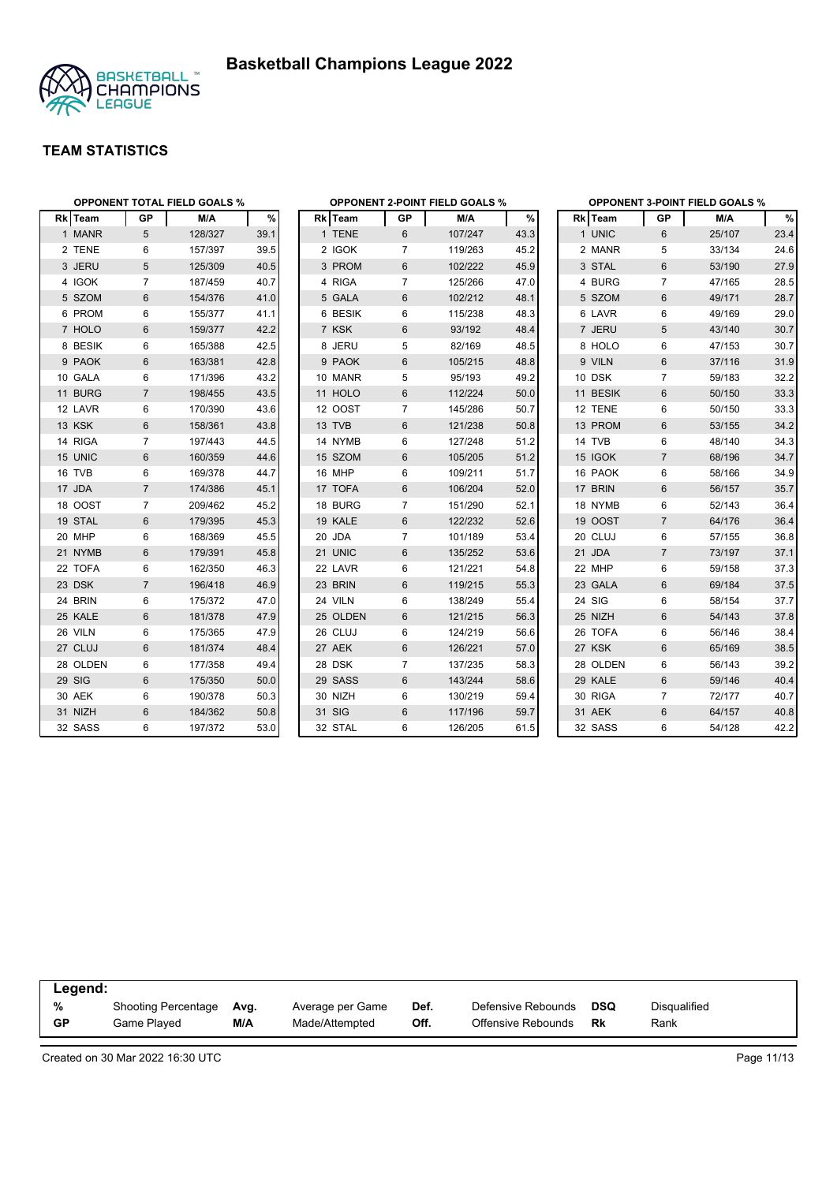

|          | <b>OPPONENT TOTAL FIELD GOALS %</b> |         |      |          |                | <b>OPPONENT 2-POINT FIELD GOALS %</b> |      |          |                | <b>OPPONENT 3-POINT FIELD GOALS %</b> |      |  |  |
|----------|-------------------------------------|---------|------|----------|----------------|---------------------------------------|------|----------|----------------|---------------------------------------|------|--|--|
| Rk Team  | GP                                  | M/A     | %    | Rk Team  | GP             | M/A                                   | $\%$ | Rk Team  | <b>GP</b>      | M/A                                   | %    |  |  |
| 1 MANR   | 5                                   | 128/327 | 39.1 | 1 TENE   | 6              | 107/247                               | 43.3 | 1 UNIC   | 6              | 25/107                                | 23.4 |  |  |
| 2 TENE   | 6                                   | 157/397 | 39.5 | 2 IGOK   | 7              | 119/263                               | 45.2 | 2 MANR   | 5              | 33/134                                | 24.6 |  |  |
| 3 JERU   | 5                                   | 125/309 | 40.5 | 3 PROM   | 6              | 102/222                               | 45.9 | 3 STAL   | $6\,$          | 53/190                                | 27.9 |  |  |
| 4 IGOK   | 7                                   | 187/459 | 40.7 | 4 RIGA   | 7              | 125/266                               | 47.0 | 4 BURG   | 7              | 47/165                                | 28.5 |  |  |
| 5 SZOM   | $6\phantom{1}$                      | 154/376 | 41.0 | 5 GALA   | 6              | 102/212                               | 48.1 | 5 SZOM   | $6\phantom{1}$ | 49/171                                | 28.7 |  |  |
| 6 PROM   | 6                                   | 155/377 | 41.1 | 6 BESIK  | 6              | 115/238                               | 48.3 | 6 LAVR   | 6              | 49/169                                | 29.0 |  |  |
| 7 HOLO   | 6                                   | 159/377 | 42.2 | 7 KSK    | 6              | 93/192                                | 48.4 | 7 JERU   | 5              | 43/140                                | 30.7 |  |  |
| 8 BESIK  | 6                                   | 165/388 | 42.5 | 8 JERU   | 5              | 82/169                                | 48.5 | 8 HOLO   | 6              | 47/153                                | 30.7 |  |  |
| 9 PAOK   | 6                                   | 163/381 | 42.8 | 9 PAOK   | 6              | 105/215                               | 48.8 | 9 VILN   | 6              | 37/116                                | 31.9 |  |  |
| 10 GALA  | 6                                   | 171/396 | 43.2 | 10 MANR  | 5              | 95/193                                | 49.2 | 10 DSK   | $\overline{7}$ | 59/183                                | 32.2 |  |  |
| 11 BURG  | $\overline{7}$                      | 198/455 | 43.5 | 11 HOLO  | 6              | 112/224                               | 50.0 | 11 BESIK | 6              | 50/150                                | 33.3 |  |  |
| 12 LAVR  | 6                                   | 170/390 | 43.6 | 12 OOST  | 7              | 145/286                               | 50.7 | 12 TENE  | 6              | 50/150                                | 33.3 |  |  |
| 13 KSK   | 6                                   | 158/361 | 43.8 | 13 TVB   | 6              | 121/238                               | 50.8 | 13 PROM  | $6\phantom{1}$ | 53/155                                | 34.2 |  |  |
| 14 RIGA  | $\overline{7}$                      | 197/443 | 44.5 | 14 NYMB  | 6              | 127/248                               | 51.2 | 14 TVB   | 6              | 48/140                                | 34.3 |  |  |
| 15 UNIC  | $6\phantom{1}$                      | 160/359 | 44.6 | 15 SZOM  | 6              | 105/205                               | 51.2 | 15 IGOK  | $\overline{7}$ | 68/196                                | 34.7 |  |  |
| 16 TVB   | 6                                   | 169/378 | 44.7 | 16 MHP   | 6              | 109/211                               | 51.7 | 16 PAOK  | 6              | 58/166                                | 34.9 |  |  |
| 17 JDA   | $\overline{7}$                      | 174/386 | 45.1 | 17 TOFA  | 6              | 106/204                               | 52.0 | 17 BRIN  | $6\phantom{1}$ | 56/157                                | 35.7 |  |  |
| 18 OOST  | 7                                   | 209/462 | 45.2 | 18 BURG  | $\overline{7}$ | 151/290                               | 52.1 | 18 NYMB  | 6              | 52/143                                | 36.4 |  |  |
| 19 STAL  | 6                                   | 179/395 | 45.3 | 19 KALE  | 6              | 122/232                               | 52.6 | 19 OOST  | $\overline{7}$ | 64/176                                | 36.4 |  |  |
| 20 MHP   | 6                                   | 168/369 | 45.5 | 20 JDA   | $\overline{7}$ | 101/189                               | 53.4 | 20 CLUJ  | 6              | 57/155                                | 36.8 |  |  |
| 21 NYMB  | 6                                   | 179/391 | 45.8 | 21 UNIC  | 6              | 135/252                               | 53.6 | 21 JDA   | $\overline{7}$ | 73/197                                | 37.1 |  |  |
| 22 TOFA  | 6                                   | 162/350 | 46.3 | 22 LAVR  | 6              | 121/221                               | 54.8 | 22 MHP   | 6              | 59/158                                | 37.3 |  |  |
| 23 DSK   | $\overline{7}$                      | 196/418 | 46.9 | 23 BRIN  | 6              | 119/215                               | 55.3 | 23 GALA  | 6              | 69/184                                | 37.5 |  |  |
| 24 BRIN  | 6                                   | 175/372 | 47.0 | 24 VILN  | 6              | 138/249                               | 55.4 | 24 SIG   | 6              | 58/154                                | 37.7 |  |  |
| 25 KALE  | 6                                   | 181/378 | 47.9 | 25 OLDEN | 6              | 121/215                               | 56.3 | 25 NIZH  | 6              | 54/143                                | 37.8 |  |  |
| 26 VILN  | 6                                   | 175/365 | 47.9 | 26 CLUJ  | 6              | 124/219                               | 56.6 | 26 TOFA  | 6              | 56/146                                | 38.4 |  |  |
| 27 CLUJ  | 6                                   | 181/374 | 48.4 | 27 AEK   | 6              | 126/221                               | 57.0 | 27 KSK   | $6\phantom{1}$ | 65/169                                | 38.5 |  |  |
| 28 OLDEN | 6                                   | 177/358 | 49.4 | 28 DSK   | $\overline{7}$ | 137/235                               | 58.3 | 28 OLDEN | 6              | 56/143                                | 39.2 |  |  |
| 29 SIG   | 6                                   | 175/350 | 50.0 | 29 SASS  | 6              | 143/244                               | 58.6 | 29 KALE  | 6              | 59/146                                | 40.4 |  |  |
| 30 AEK   | 6                                   | 190/378 | 50.3 | 30 NIZH  | 6              | 130/219                               | 59.4 | 30 RIGA  | $\overline{7}$ | 72/177                                | 40.7 |  |  |
| 31 NIZH  | $6\phantom{1}$                      | 184/362 | 50.8 | 31 SIG   | 6              | 117/196                               | 59.7 | 31 AEK   | $6\phantom{1}$ | 64/157                                | 40.8 |  |  |
| 32 SASS  | 6                                   | 197/372 | 53.0 | 32 STAL  | 6              | 126/205                               | 61.5 | 32 SASS  | 6              | 54/128                                | 42.2 |  |  |

|    | Legend:                    |      |                  |      |                    |     |              |  |  |  |  |  |
|----|----------------------------|------|------------------|------|--------------------|-----|--------------|--|--|--|--|--|
| %  | <b>Shooting Percentage</b> | Avg. | Average per Game | Def. | Defensive Rebounds | DSQ | Disqualified |  |  |  |  |  |
| GP | Game Played                | M/A  | Made/Attempted   | Off. | Offensive Rebounds | Rk  | Rank         |  |  |  |  |  |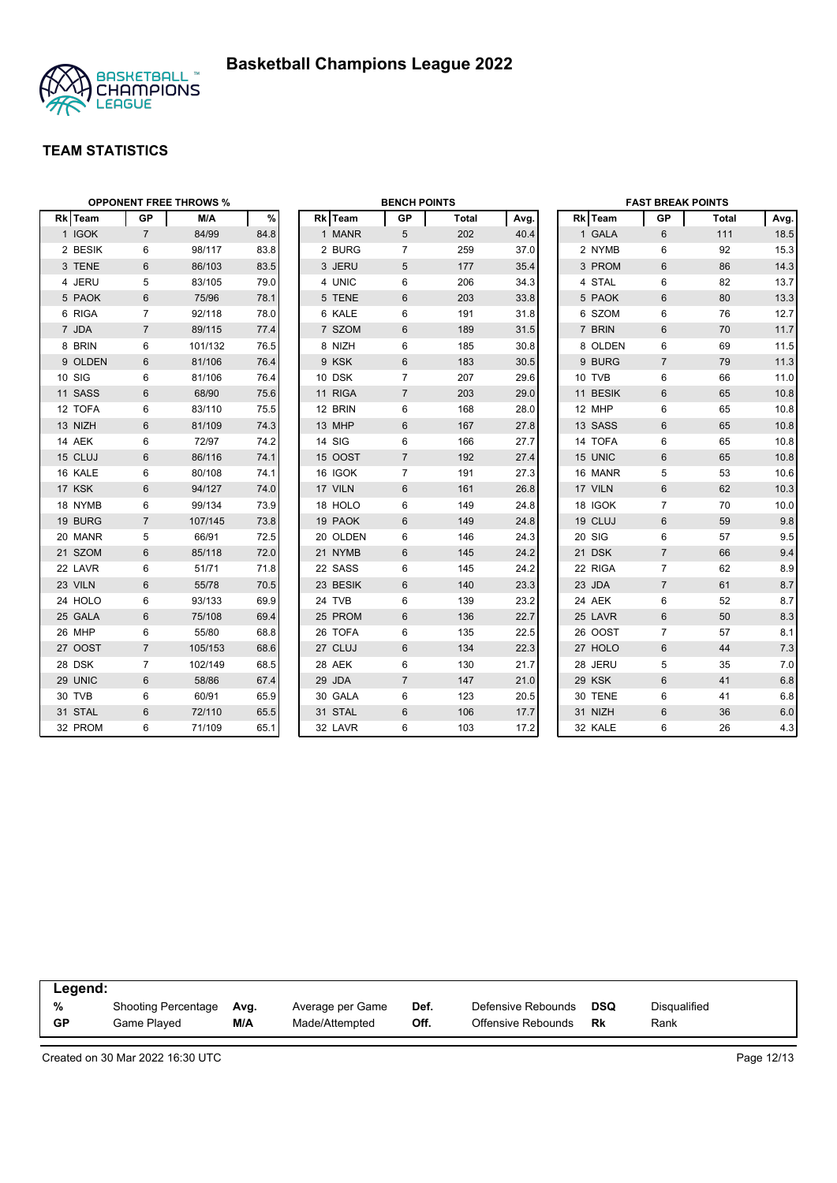



| <b>OPPONENT FREE THROWS %</b> |                |         |      | <b>BENCH POINTS</b> |                |              |      | <b>FAST BREAK POINTS</b> |                 |              |      |
|-------------------------------|----------------|---------|------|---------------------|----------------|--------------|------|--------------------------|-----------------|--------------|------|
| Rk Team                       | <b>GP</b>      | M/A     | %    | Rk Team             | <b>GP</b>      | <b>Total</b> | Avg. | Rk Team                  | <b>GP</b>       | <b>Total</b> | Avg. |
| 1 IGOK                        | $\overline{7}$ | 84/99   | 84.8 | 1 MANR              | 5 <sup>5</sup> | 202          | 40.4 | 1 GALA                   | $6\phantom{1}$  | 111          | 18.5 |
| 2 BESIK                       | 6              | 98/117  | 83.8 | 2 BURG              | $\overline{7}$ | 259          | 37.0 | 2 NYMB                   | 6               | 92           | 15.3 |
| 3 TENE                        | 6              | 86/103  | 83.5 | 3 JERU              | 5              | 177          | 35.4 | 3 PROM                   | 6               | 86           | 14.3 |
| 4 JERU                        | 5              | 83/105  | 79.0 | 4 UNIC              | 6              | 206          | 34.3 | 4 STAL                   | 6               | 82           | 13.7 |
| 5 PAOK                        | 6              | 75/96   | 78.1 | 5 TENE              | 6              | 203          | 33.8 | 5 PAOK                   | 6               | 80           | 13.3 |
| 6 RIGA                        | $\overline{7}$ | 92/118  | 78.0 | 6 KALE              | 6              | 191          | 31.8 | 6 SZOM                   | 6               | 76           | 12.7 |
| 7 JDA                         | $\overline{7}$ | 89/115  | 77.4 | 7 SZOM              | 6              | 189          | 31.5 | 7 BRIN                   | 6               | 70           | 11.7 |
| 8 BRIN                        | 6              | 101/132 | 76.5 | 8 NIZH              | 6              | 185          | 30.8 | 8 OLDEN                  | 6               | 69           | 11.5 |
| 9 OLDEN                       | 6              | 81/106  | 76.4 | 9 KSK               | 6              | 183          | 30.5 | 9 BURG                   | $\overline{7}$  | 79           | 11.3 |
| 10 SIG                        | 6              | 81/106  | 76.4 | 10 DSK              | $\overline{7}$ | 207          | 29.6 | 10 TVB                   | 6               | 66           | 11.0 |
| 11 SASS                       | 6              | 68/90   | 75.6 | 11 RIGA             | $\overline{7}$ | 203          | 29.0 | 11 BESIK                 | 6               | 65           | 10.8 |
| 12 TOFA                       | 6              | 83/110  | 75.5 | 12 BRIN             | 6              | 168          | 28.0 | 12 MHP                   | 6               | 65           | 10.8 |
| 13 NIZH                       | $6\phantom{1}$ | 81/109  | 74.3 | 13 MHP              | 6              | 167          | 27.8 | 13 SASS                  | 6               | 65           | 10.8 |
| 14 AEK                        | 6              | 72/97   | 74.2 | 14 SIG              | 6              | 166          | 27.7 | 14 TOFA                  | 6               | 65           | 10.8 |
| 15 CLUJ                       | 6              | 86/116  | 74.1 | 15 OOST             | $\overline{7}$ | 192          | 27.4 | 15 UNIC                  | $6\phantom{1}6$ | 65           | 10.8 |
| 16 KALE                       | 6              | 80/108  | 74.1 | 16 IGOK             | $\overline{7}$ | 191          | 27.3 | 16 MANR                  | 5               | 53           | 10.6 |
| 17 KSK                        | 6              | 94/127  | 74.0 | 17 VILN             | 6              | 161          | 26.8 | 17 VILN                  | $6\phantom{1}$  | 62           | 10.3 |
| 18 NYMB                       | 6              | 99/134  | 73.9 | 18 HOLO             | 6              | 149          | 24.8 | 18 IGOK                  | $\overline{7}$  | 70           | 10.0 |
| 19 BURG                       | $\overline{7}$ | 107/145 | 73.8 | 19 PAOK             | 6              | 149          | 24.8 | 19 CLUJ                  | 6               | 59           | 9.8  |
| 20 MANR                       | 5              | 66/91   | 72.5 | 20 OLDEN            | 6              | 146          | 24.3 | 20 SIG                   | 6               | 57           | 9.5  |
| 21 SZOM                       | 6              | 85/118  | 72.0 | 21 NYMB             | 6              | 145          | 24.2 | 21 DSK                   | $\overline{7}$  | 66           | 9.4  |
| 22 LAVR                       | 6              | 51/71   | 71.8 | 22 SASS             | 6              | 145          | 24.2 | 22 RIGA                  | $\overline{7}$  | 62           | 8.9  |
| 23 VILN                       | 6              | 55/78   | 70.5 | 23 BESIK            | 6              | 140          | 23.3 | 23 JDA                   | $\overline{7}$  | 61           | 8.7  |
| 24 HOLO                       | 6              | 93/133  | 69.9 | 24 TVB              | 6              | 139          | 23.2 | 24 AEK                   | 6               | 52           | 8.7  |
| 25 GALA                       | 6              | 75/108  | 69.4 | 25 PROM             | 6              | 136          | 22.7 | 25 LAVR                  | 6               | 50           | 8.3  |
| 26 MHP                        | 6              | 55/80   | 68.8 | 26 TOFA             | 6              | 135          | 22.5 | 26 OOST                  | $\overline{7}$  | 57           | 8.1  |
| 27 OOST                       | $\overline{7}$ | 105/153 | 68.6 | 27 CLUJ             | 6              | 134          | 22.3 | 27 HOLO                  | $6\phantom{1}$  | 44           | 7.3  |
| 28 DSK                        | $\overline{7}$ | 102/149 | 68.5 | 28 AEK              | 6              | 130          | 21.7 | 28 JERU                  | 5               | 35           | 7.0  |
| 29 UNIC                       | 6              | 58/86   | 67.4 | 29 JDA              | $\overline{7}$ | 147          | 21.0 | 29 KSK                   | 6               | 41           | 6.8  |
| 30 TVB                        | 6              | 60/91   | 65.9 | 30 GALA             | 6              | 123          | 20.5 | 30 TENE                  | 6               | 41           | 6.8  |
| 31 STAL                       | 6              | 72/110  | 65.5 | 31 STAL             | 6              | 106          | 17.7 | 31 NIZH                  | 6               | 36           | 6.0  |
| 32 PROM                       | 6              | 71/109  | 65.1 | 32 LAVR             | 6              | 103          | 17.2 | 32 KALE                  | 6               | 26           | 4.3  |

| Legend:   |                            |      |                  |      |                    |            |              |  |
|-----------|----------------------------|------|------------------|------|--------------------|------------|--------------|--|
| %         | <b>Shooting Percentage</b> | Ava. | Average per Game | Def. | Defensive Rebounds | <b>DSQ</b> | Disqualified |  |
| <b>GP</b> | Game Played                | M/A  | Made/Attempted   | Off. | Offensive Rebounds | Rk         | Rank         |  |